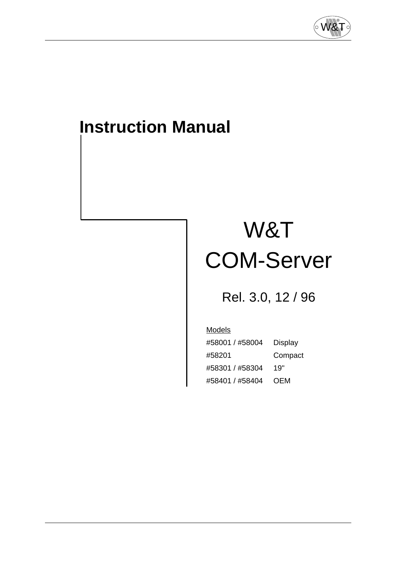

# **Instruction Manual**

# W&T COM-Server

# Rel. 3.0, 12 / 96

# Models

| #58001 / #58004 | Display |
|-----------------|---------|
| #58201          | Compact |
| #58301 / #58304 | 19"     |
| #58401 / #58404 | OEM     |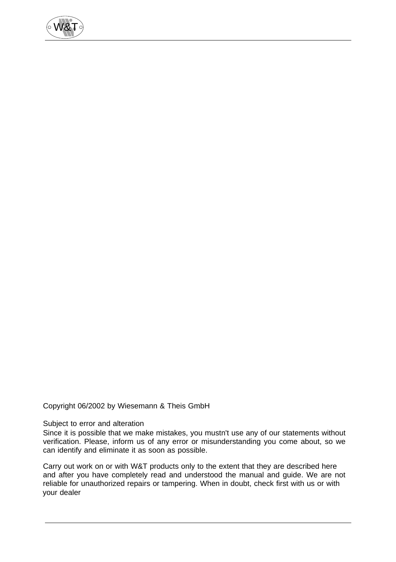

W&T

Copyright 06/2002 by Wiesemann & Theis GmbH

Subject to error and alteration

Since it is possible that we make mistakes, you mustn't use any of our statements without verification. Please, inform us of any error or misunderstanding you come about, so we can identify and eliminate it as soon as possible.

Carry out work on or with W&T products only to the extent that they are described here and after you have completely read and understood the manual and guide. We are not reliable for unauthorized repairs or tampering. When in doubt, check first with us or with your dealer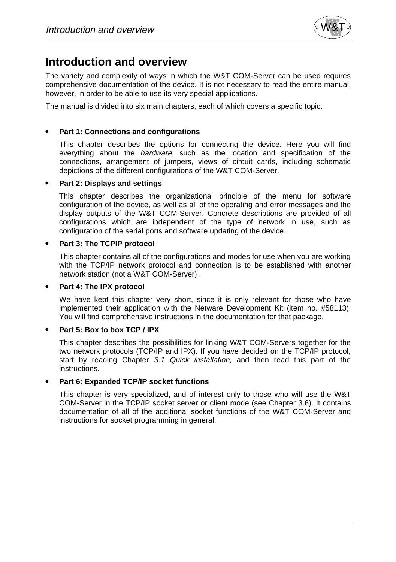

# **Introduction and overview**

The variety and complexity of ways in which the W&T COM-Server can be used requires comprehensive documentation of the device. It is not necessary to read the entire manual, however, in order to be able to use its very special applications.

The manual is divided into six main chapters, each of which covers a specific topic.

# **Part 1: Connections and configurations**

This chapter describes the options for connecting the device. Here you will find everything about the *hardware*, such as the location and specification of the connections, arrangement of jumpers, views of circuit cards, including schematic depictions of the different configurations of the W&T COM-Server.

# **Part 2: Displays and settings**

This chapter describes the organizational principle of the menu for software configuration of the device, as well as all of the operating and error messages and the display outputs of the W&T COM-Server. Concrete descriptions are provided of all configurations which are independent of the type of network in use, such as configuration of the serial ports and software updating of the device.

# **Part 3: The TCPIP protocol**

This chapter contains all of the configurations and modes for use when you are working with the TCP/IP network protocol and connection is to be established with another network station (not a W&T COM-Server) .

## **Part 4: The IPX protocol**

We have kept this chapter very short, since it is only relevant for those who have implemented their application with the Netware Development Kit (item no. #58113). You will find comprehensive instructions in the documentation for that package.

# **Part 5: Box to box TCP / IPX**

This chapter describes the possibilities for linking W&T COM-Servers together for the two network protocols (TCP/IP and IPX). If you have decided on the TCP/IP protocol, start by reading Chapter 3.1 Quick installation, and then read this part of the instructions.

# **Part 6: Expanded TCP/IP socket functions**

This chapter is very specialized, and of interest only to those who will use the W&T COM-Server in the TCP/IP socket server or client mode (see Chapter 3.6). It contains documentation of all of the additional socket functions of the W&T COM-Server and instructions for socket programming in general.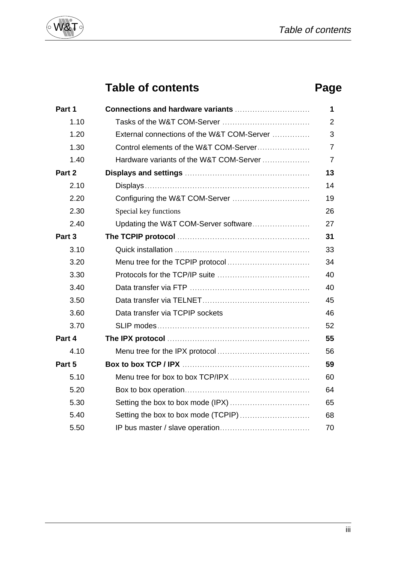

# $^{\circ}$  W&

# Table of contents **Page**

| Part 1 |                                            | 1  |
|--------|--------------------------------------------|----|
| 1.10   |                                            | 2  |
| 1.20   | External connections of the W&T COM-Server | 3  |
| 1.30   | Control elements of the W&T COM-Server     | 7  |
| 1.40   | Hardware variants of the W&T COM-Server    | 7  |
| Part 2 |                                            | 13 |
| 2.10   |                                            | 14 |
| 2.20   |                                            | 19 |
| 2.30   | Special key functions                      | 26 |
| 2.40   | Updating the W&T COM-Server software       | 27 |
| Part 3 |                                            | 31 |
| 3.10   |                                            | 33 |
| 3.20   |                                            | 34 |
| 3.30   |                                            | 40 |
| 3.40   |                                            | 40 |
| 3.50   |                                            | 45 |
| 3.60   | Data transfer via TCPIP sockets            | 46 |
| 3.70   |                                            | 52 |
| Part 4 |                                            | 55 |
| 4.10   |                                            | 56 |
| Part 5 |                                            | 59 |
| 5.10   |                                            | 60 |
| 5.20   |                                            | 64 |
| 5.30   |                                            | 65 |
| 5.40   |                                            | 68 |
| 5.50   |                                            | 70 |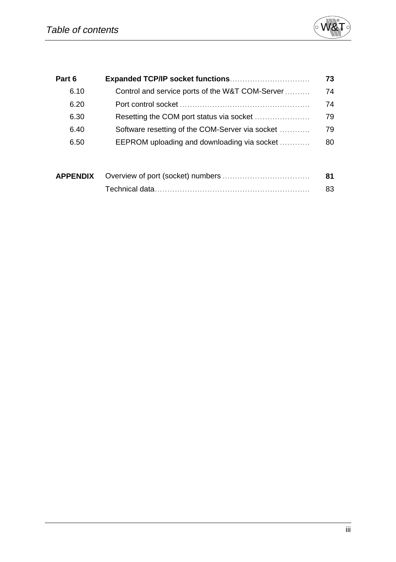

| Part 6          |                                                 | 73 |
|-----------------|-------------------------------------------------|----|
| 6.10            | Control and service ports of the W&T COM-Server | 74 |
| 6.20            |                                                 | 74 |
| 6.30            |                                                 | 79 |
| 6.40            | Software resetting of the COM-Server via socket | 79 |
| 6.50            | EEPROM uploading and downloading via socket     | 80 |
| <b>APPENDIX</b> |                                                 | 81 |
|                 |                                                 | 83 |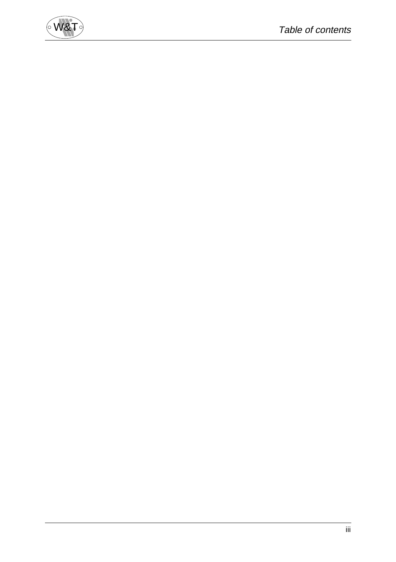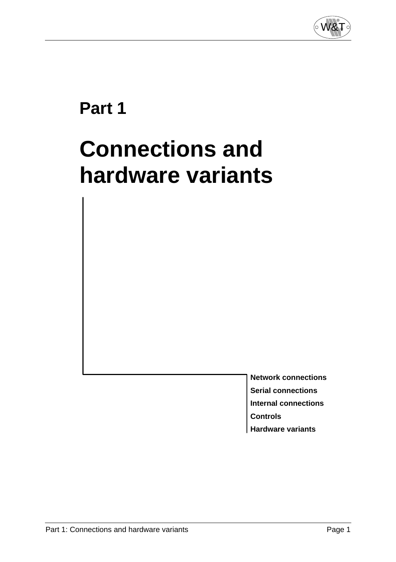

# **Part 1**

# **Connections and hardware variants**

**Network connections Serial connections Internal connections Controls Hardware variants**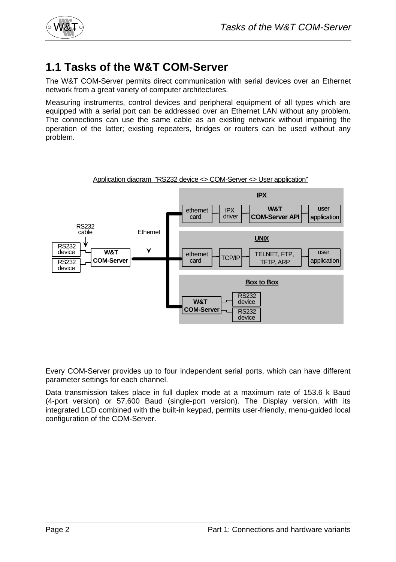

# **1.1 Tasks of the W&T COM-Server**

The W&T COM-Server permits direct communication with serial devices over an Ethernet network from a great variety of computer architectures.

Measuring instruments, control devices and peripheral equipment of all types which are equipped with a serial port can be addressed over an Ethernet LAN without any problem. The connections can use the same cable as an existing network without impairing the operation of the latter; existing repeaters, bridges or routers can be used without any problem.



Every COM-Server provides up to four independent serial ports, which can have different parameter settings for each channel.

Data transmission takes place in full duplex mode at a maximum rate of 153.6 k Baud (4-port version) or 57,600 Baud (single-port version). The Display version, with its integrated LCD combined with the built-in keypad, permits user-friendly, menu-guided local configuration of the COM-Server.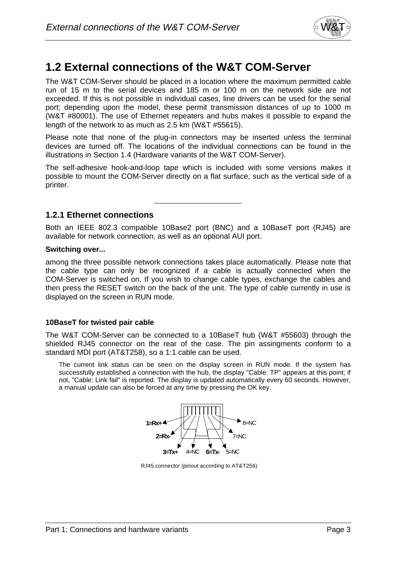

# **1.2 External connections of the W&T COM-Server**

The W&T COM-Server should be placed in a location where the maximum permitted cable run of 15 m to the serial devices and 185 m or 100 m on the network side are not exceeded. If this is not possible in individual cases, line drivers can be used for the serial port; depending upon the model, these permit transmission distances of up to 1000 m (W&T #80001). The use of Ethernet repeaters and hubs makes it possible to expand the length of the network to as much as 2.5 km (W&T #55615).

Please note that none of the plug-in connectors may be inserted unless the terminal devices are turned off. The locations of the individual connections can be found in the illustrations in Section 1.4 (Hardware variants of the W&T COM-Server).

The self-adhesive hook-and-loop tape which is included with some versions makes it possible to mount the COM-Server directly on a flat surface, such as the vertical side of a printer.

 $\overline{a}$ 

# **1.2.1 Ethernet connections**

Both an IEEE 802.3 compatible 10Base2 port (BNC) and a 10BaseT port (RJ45) are available for network connection, as well as an optional AUI port.

# **Switching over...**

among the three possible network connections takes place automatically. Please note that the cable type can only be recognized if a cable is actually connected when the COM-Server is switched on. If you wish to change cable types, exchange the cables and then press the RESET switch on the back of the unit. The type of cable currently in use is displayed on the screen in RUN mode.

# **10BaseT for twisted pair cable**

The W&T COM-Server can be connected to a 10BaseT hub (W&T #55603) through the shielded RJ45 connector on the rear of the case. The pin assingments conform to a standard MDI port (AT&T258), so a 1:1 cable can be used.

The current link status can be seen on the display screen in RUN mode. If the system has successfully established a connection with the hub, the display "Cable: TP" appears at this point; if not, "Cable: Link fail" is reported. The display is updated automatically every 60 seconds. However, a manual update can also be forced at any time by pressing the OK key.



RJ45 connector (pinout according to AT&T256)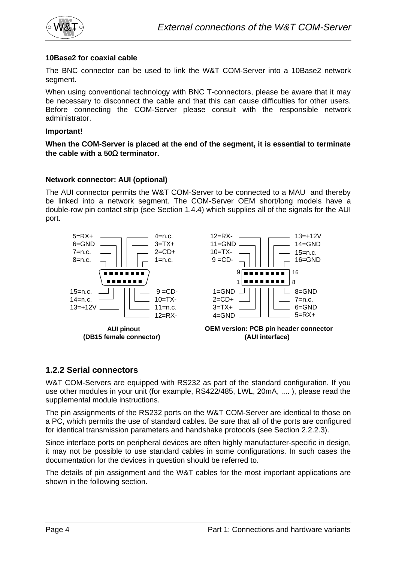

# **10Base2 for coaxial cable**

The BNC connector can be used to link the W&T COM-Server into a 10Base2 network segment.

When using conventional technology with BNC T-connectors, please be aware that it may be necessary to disconnect the cable and that this can cause difficulties for other users. Before connecting the COM-Server please consult with the responsible network administrator.

## **Important!**

**When the COM-Server is placed at the end of the segment, it is essential to terminate the cable with a 50**Ω **terminator.**

# **Network connector: AUI (optional)**

The AUI connector permits the W&T COM-Server to be connected to a MAU and thereby be linked into a network segment. The COM-Server OEM short/long models have a double-row pin contact strip (see Section 1.4.4) which supplies all of the signals for the AUI port.



# **1.2.2 Serial connectors**

W&T COM-Servers are equipped with RS232 as part of the standard configuration. If you use other modules in your unit (for example, RS422/485, LWL, 20mA, .... ), please read the supplemental module instructions.

The pin assignments of the RS232 ports on the W&T COM-Server are identical to those on a PC, which permits the use of standard cables. Be sure that all of the ports are configured for identical transmission parameters and handshake protocols (see Section 2.2.2.3).

Since interface ports on peripheral devices are often highly manufacturer-specific in design, it may not be possible to use standard cables in some configurations. In such cases the documentation for the devices in question should be referred to.

The details of pin assignment and the W&T cables for the most important applications are shown in the following section.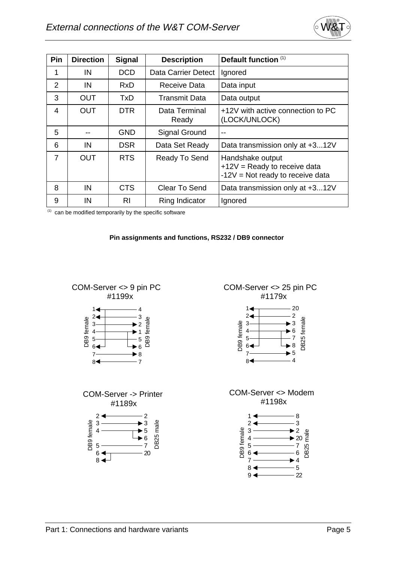

| Pin            | <b>Direction</b> | Signal     | <b>Description</b>     | Default function (1)                                                                     |
|----------------|------------------|------------|------------------------|------------------------------------------------------------------------------------------|
| 1              | IN               | <b>DCD</b> | Data Carrier Detect    | Ignored                                                                                  |
| 2              | IN               | RxD        | Receive Data           | Data input                                                                               |
| 3              | <b>OUT</b>       | TxD        | Transmit Data          | Data output                                                                              |
| 4              | <b>OUT</b>       | <b>DTR</b> | Data Terminal<br>Ready | +12V with active connection to PC<br>(LOCK/UNLOCK)                                       |
| 5              | --               | <b>GND</b> | Signal Ground          | --                                                                                       |
| 6              | IN               | DSR        | Data Set Ready         | Data transmission only at +312V                                                          |
| $\overline{7}$ | <b>OUT</b>       | <b>RTS</b> | Ready To Send          | Handshake output<br>$+12V$ = Ready to receive data<br>$-12V$ = Not ready to receive data |
| 8              | IN               | <b>CTS</b> | Clear To Send          | Data transmission only at +312V                                                          |
| 9              | IN               | RI         | Ring Indicator         | Ignored                                                                                  |

(1) can be modified temporarily by the specific software



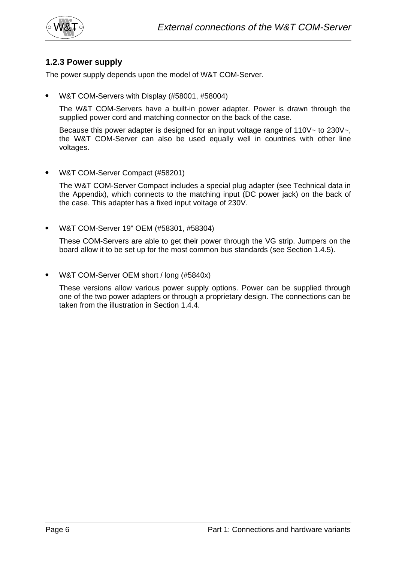

# **1.2.3 Power supply**

The power supply depends upon the model of W&T COM-Server.

W&T COM-Servers with Display (#58001, #58004)

The W&T COM-Servers have a built-in power adapter. Power is drawn through the supplied power cord and matching connector on the back of the case.

Because this power adapter is designed for an input voltage range of  $110V~$  to  $230V~$ . the W&T COM-Server can also be used equally well in countries with other line voltages.

W&T COM-Server Compact (#58201)

The W&T COM-Server Compact includes a special plug adapter (see Technical data in the Appendix), which connects to the matching input (DC power jack) on the back of the case. This adapter has a fixed input voltage of 230V.

W&T COM-Server 19" OEM (#58301, #58304)

These COM-Servers are able to get their power through the VG strip. Jumpers on the board allow it to be set up for the most common bus standards (see Section 1.4.5).

W&T COM-Server OEM short / long (#5840x)

These versions allow various power supply options. Power can be supplied through one of the two power adapters or through a proprietary design. The connections can be taken from the illustration in Section 1.4.4.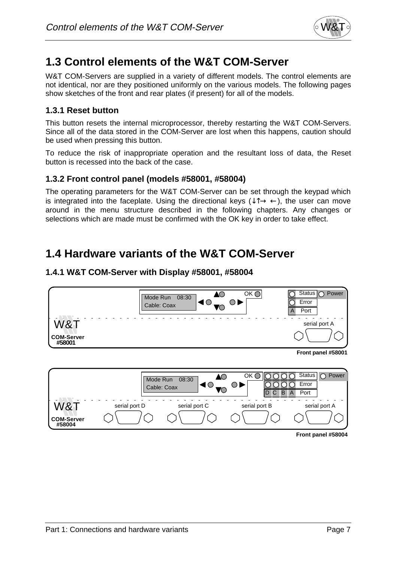

# **1.3 Control elements of the W&T COM-Server**

W&T COM-Servers are supplied in a variety of different models. The control elements are not identical, nor are they positioned uniformly on the various models. The following pages show sketches of the front and rear plates (if present) for all of the models.

# **1.3.1 Reset button**

This button resets the internal microprocessor, thereby restarting the W&T COM-Servers. Since all of the data stored in the COM-Server are lost when this happens, caution should be used when pressing this button.

To reduce the risk of inappropriate operation and the resultant loss of data, the Reset button is recessed into the back of the case.

# **1.3.2 Front control panel (models #58001, #58004)**

The operating parameters for the W&T COM-Server can be set through the keypad which is integrated into the faceplate. Using the directional keys ( $\downarrow \uparrow \rightarrow \leftarrow$ ), the user can move around in the menu structure described in the following chapters. Any changes or selections which are made must be confirmed with the OK key in order to take effect.

# **1.4 Hardware variants of the W&T COM-Server**

# **1.4.1 W&T COM-Server with Display #58001, #58004**

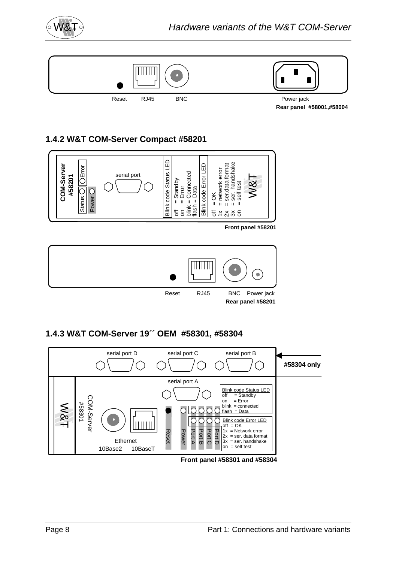

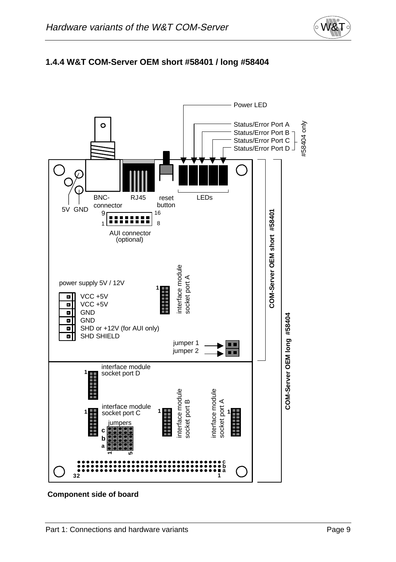

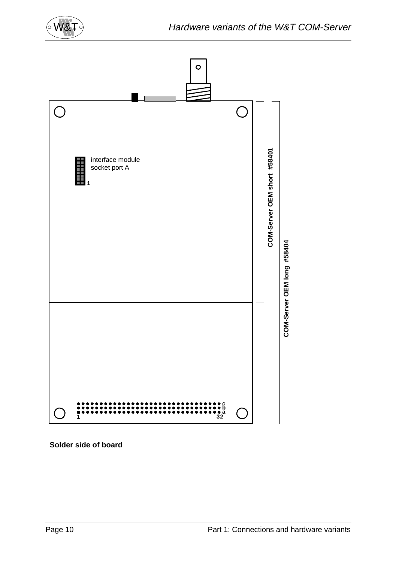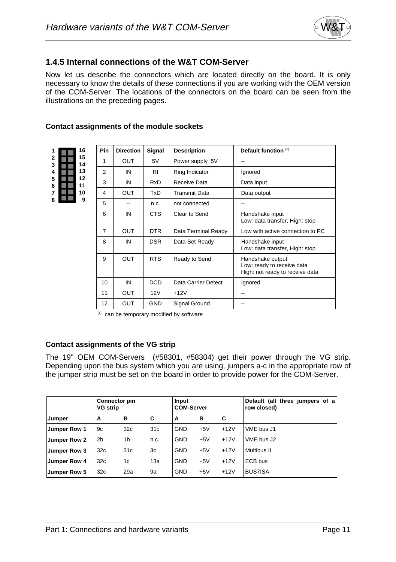

# **1.4.5 Internal connections of the W&T COM-Server**

Now let us describe the connectors which are located directly on the board. It is only necessary to know the details of these connections if you are working with the OEM version of the COM-Server. The locations of the connectors on the board can be seen from the illustrations on the preceding pages.

# **Contact assignments of the module sockets**

| 1 | 16 |
|---|----|
| 2 | 15 |
| 3 | 14 |
| 4 | 13 |
| 5 | 12 |
| 6 | 11 |
| 7 | 10 |
| 8 | g  |

| Pin             | <b>Direction</b> | Signal     | <b>Description</b>   | Default function (1)                                                              |
|-----------------|------------------|------------|----------------------|-----------------------------------------------------------------------------------|
| 1               | <b>OUT</b>       | 5V         | Power supply 5V      |                                                                                   |
| $\overline{2}$  | IN               | RI.        | Ring Indicator       | Ignored                                                                           |
| 3               | IN               | <b>RxD</b> | Receive Data         | Data input                                                                        |
| 4               | OUT              | TxD        | <b>Transmit Data</b> | Data output                                                                       |
| 5               | --               | n.c.       | not connected        |                                                                                   |
| 6               | IN               | <b>CTS</b> | Clear to Send        | Handshake input<br>Low: data transfer, High: stop                                 |
| $\overline{7}$  | <b>OUT</b>       | <b>DTR</b> | Data Terminal Ready  | Low with active connection to PC                                                  |
| 8               | IN               | <b>DSR</b> | Data Set Ready       | Handshake input<br>Low: data transfer, High: stop                                 |
| 9               | OUT              | <b>RTS</b> | Ready to Send        | Handshake output<br>Low: ready to receive data<br>High: not ready to receive data |
| 10 <sup>1</sup> | IN               | <b>DCD</b> | Data Carrier Detect  | Ignored                                                                           |
| 11              | <b>OUT</b>       | 12V        | $+12V$               |                                                                                   |
| 12              | <b>OUT</b>       | <b>GND</b> | Signal Ground        |                                                                                   |

 $(1)$  can be temporary modified by software

# **Contact assignments of the VG strip**

The 19" OEM COM-Servers (#58301, #58304) get their power through the VG strip. Depending upon the bus system which you are using, jumpers a-c in the appropriate row of the jumper strip must be set on the board in order to provide power for the COM-Server.

|              | Input<br>Connector pin<br><b>VG strip</b><br><b>COM-Server</b> |                 | Default (all three jumpers of a<br>row closed) |            |       |        |                |
|--------------|----------------------------------------------------------------|-----------------|------------------------------------------------|------------|-------|--------|----------------|
| Jumper       | A                                                              | в               | c                                              | A          | в     | С      |                |
| Jumper Row 1 | 9c                                                             | 32 <sub>c</sub> | 31 <sub>c</sub>                                | <b>GND</b> | $+5V$ | $+12V$ | VME bus J1     |
| Jumper Row 2 | 2 <sub>b</sub>                                                 | 1 <sub>b</sub>  | n.c.                                           | GND        | $+5V$ | $+12V$ | VME bus J2     |
| Jumper Row 3 | 32 <sub>c</sub>                                                | 31 <sub>c</sub> | Зc                                             | GND        | $+5V$ | $+12V$ | Multibus II    |
| Jumper Row 4 | 32 <sub>c</sub>                                                | 1c              | 13a                                            | <b>GND</b> | $+5V$ | $+12V$ | ECB bus        |
| Jumper Row 5 | 32 <sub>c</sub>                                                | 29a             | 9a                                             | <b>GND</b> | $+5V$ | $+12V$ | <b>BUS7ISA</b> |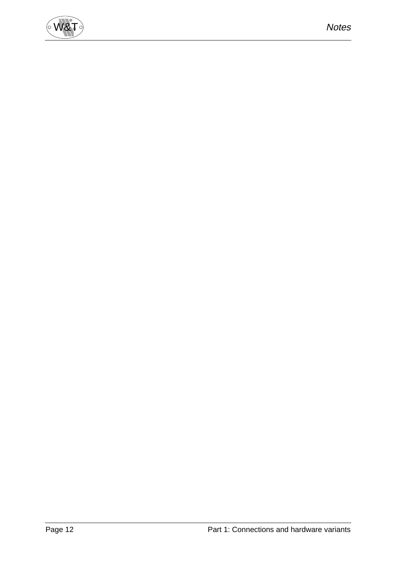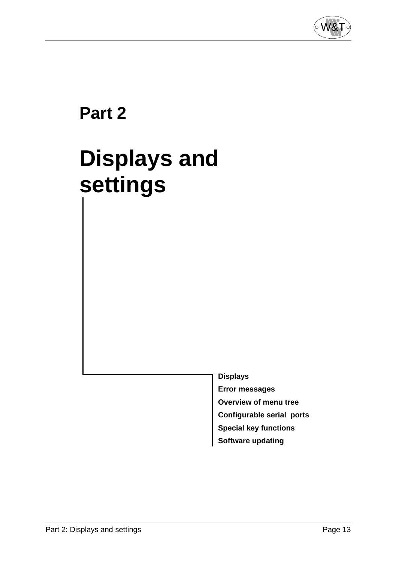

# **Part 2 Displays and settings Displays Error messages Overview of menu tree Configurable serial ports Special key functions Software updating**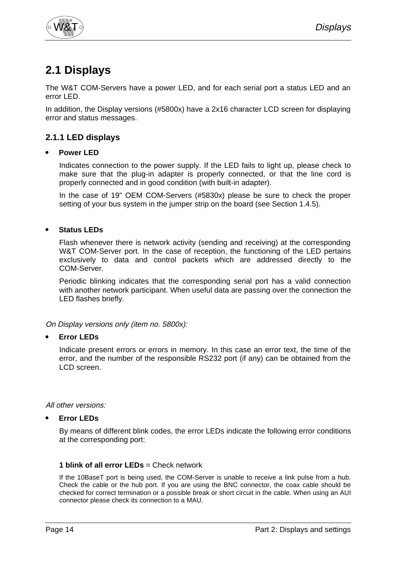

# **2.1 Displays**

The W&T COM-Servers have a power LED, and for each serial port a status LED and an error LED.

In addition, the Display versions (#5800x) have a 2x16 character LCD screen for displaying error and status messages.

# **2.1.1 LED displays**

# **Power LED**

Indicates connection to the power supply. If the LED fails to light up, please check to make sure that the plug-in adapter is properly connected, or that the line cord is properly connected and in good condition (with built-in adapter).

In the case of 19" OEM COM-Servers (#5830x) please be sure to check the proper setting of your bus system in the jumper strip on the board (see Section 1.4.5).

# **Status LEDs**

Flash whenever there is network activity (sending and receiving) at the corresponding W&T COM-Server port. In the case of reception, the functioning of the LED pertains exclusively to data and control packets which are addressed directly to the COM-Server.

Periodic blinking indicates that the corresponding serial port has a valid connection with another network participant. When useful data are passing over the connection the LED flashes briefly.

On Display versions only (item no. 5800x):

# **Error LEDs**

Indicate present errors or errors in memory. In this case an error text, the time of the error, and the number of the responsible RS232 port (if any) can be obtained from the LCD screen.

All other versions:

# **Error LEDs**

By means of different blink codes, the error LEDs indicate the following error conditions at the corresponding port:

# **1 blink of all error LEDs** = Check network

If the 10BaseT port is being used, the COM-Server is unable to receive a link pulse from a hub. Check the cable or the hub port. If you are using the BNC connector, the coax cable should be checked for correct termination or a possible break or short circuit in the cable. When using an AUI connector please check its connection to a MAU.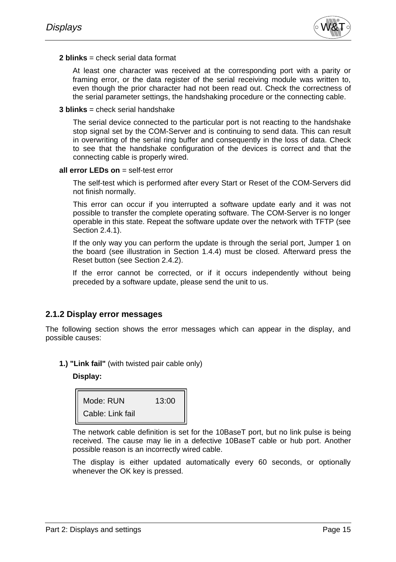

# **2 blinks** = check serial data format

At least one character was received at the corresponding port with a parity or framing error, or the data register of the serial receiving module was written to, even though the prior character had not been read out. Check the correctness of the serial parameter settings, the handshaking procedure or the connecting cable.

# **3 blinks** = check serial handshake

The serial device connected to the particular port is not reacting to the handshake stop signal set by the COM-Server and is continuing to send data. This can result in overwriting of the serial ring buffer and consequently in the loss of data. Check to see that the handshake configuration of the devices is correct and that the connecting cable is properly wired.

## **all error LEDs on** = self-test error

The self-test which is performed after every Start or Reset of the COM-Servers did not finish normally.

This error can occur if you interrupted a software update early and it was not possible to transfer the complete operating software. The COM-Server is no longer operable in this state. Repeat the software update over the network with TFTP (see Section 2.4.1).

If the only way you can perform the update is through the serial port, Jumper 1 on the board (see illustration in Section 1.4.4) must be closed. Afterward press the Reset button (see Section 2.4.2).

If the error cannot be corrected, or if it occurs independently without being preceded by a software update, please send the unit to us.

# **2.1.2 Display error messages**

The following section shows the error messages which can appear in the display, and possible causes:

**1.) "Link fail"** (with twisted pair cable only)

**Display:**



The network cable definition is set for the 10BaseT port, but no link pulse is being received. The cause may lie in a defective 10BaseT cable or hub port. Another possible reason is an incorrectly wired cable.

The display is either updated automatically every 60 seconds, or optionally whenever the OK key is pressed.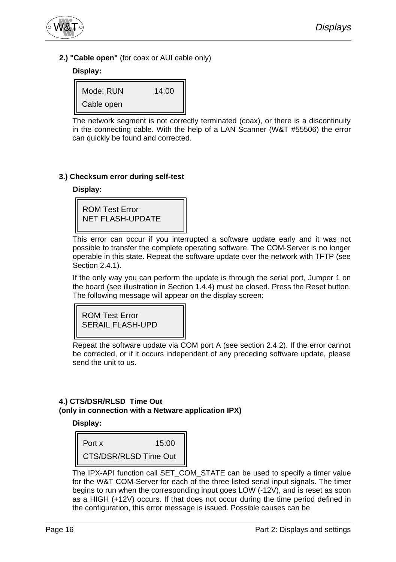

**2.) "Cable open"** (for coax or AUI cable only)

# **Display:**



The network segment is not correctly terminated (coax), or there is a discontinuity in the connecting cable. With the help of a LAN Scanner (W&T #55506) the error can quickly be found and corrected.

# **3.) Checksum error during self-test**

**Display:**

ROM Test Error NET FLASH-UPDATE

This error can occur if you interrupted a software update early and it was not possible to transfer the complete operating software. The COM-Server is no longer operable in this state. Repeat the software update over the network with TFTP (see Section 2.4.1).

If the only way you can perform the update is through the serial port, Jumper 1 on the board (see illustration in Section 1.4.4) must be closed. Press the Reset button. The following message will appear on the display screen:



Repeat the software update via COM port A (see section 2.4.2). If the error cannot be corrected, or if it occurs independent of any preceding software update, please send the unit to us.

# **4.) CTS/DSR/RLSD Time Out (only in connection with a Netware application IPX)**

**Display:**

Port x CTS/DSR/RLSD Time Out 15:00

The IPX-API function call SET\_COM\_STATE can be used to specify a timer value for the W&T COM-Server for each of the three listed serial input signals. The timer begins to run when the corresponding input goes LOW (-12V), and is reset as soon as a HIGH (+12V) occurs. If that does not occur during the time period defined in the configuration, this error message is issued. Possible causes can be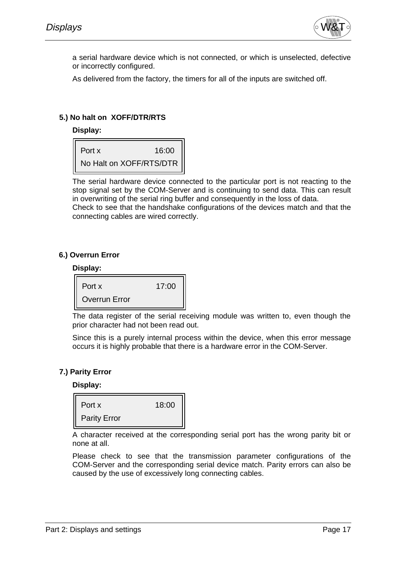

a serial hardware device which is not connected, or which is unselected, defective or incorrectly configured.

As delivered from the factory, the timers for all of the inputs are switched off.

# **5.) No halt on XOFF/DTR/RTS**

# **Display:**

Port x No Halt on XOFF/RTS/DTR 16:00

The serial hardware device connected to the particular port is not reacting to the stop signal set by the COM-Server and is continuing to send data. This can result in overwriting of the serial ring buffer and consequently in the loss of data. Check to see that the handshake configurations of the devices match and that the connecting cables are wired correctly.

# **6.) Overrun Error**

**Display:**



The data register of the serial receiving module was written to, even though the prior character had not been read out.

Since this is a purely internal process within the device, when this error message occurs it is highly probable that there is a hardware error in the COM-Server.

# **7.) Parity Error**

**Display:**



A character received at the corresponding serial port has the wrong parity bit or none at all.

Please check to see that the transmission parameter configurations of the COM-Server and the corresponding serial device match. Parity errors can also be caused by the use of excessively long connecting cables.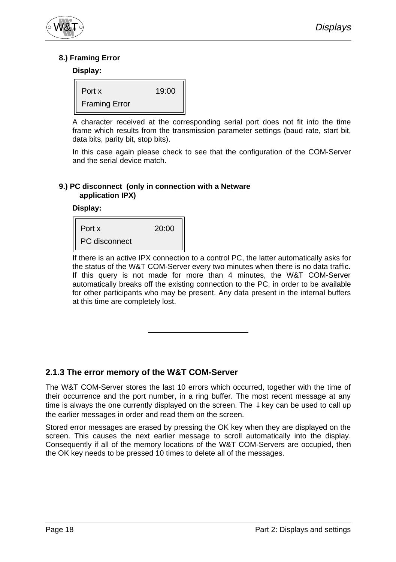

# **8.) Framing Error**

# **Display:**



A character received at the corresponding serial port does not fit into the time frame which results from the transmission parameter settings (baud rate, start bit, data bits, parity bit, stop bits).

In this case again please check to see that the configuration of the COM-Server and the serial device match.

# **9.) PC disconnect (only in connection with a Netware application IPX)**

**Display:**

| Port x        | 20:00 |
|---------------|-------|
| PC disconnect |       |

If there is an active IPX connection to a control PC, the latter automatically asks for the status of the W&T COM-Server every two minutes when there is no data traffic. If this query is not made for more than 4 minutes, the W&T COM-Server automatically breaks off the existing connection to the PC, in order to be available for other participants who may be present. Any data present in the internal buffers at this time are completely lost.

# **2.1.3 The error memory of the W&T COM-Server**

 $\overline{a}$ 

The W&T COM-Server stores the last 10 errors which occurred, together with the time of their occurrence and the port number, in a ring buffer. The most recent message at any time is always the one currently displayed on the screen. The ↓ key can be used to call up the earlier messages in order and read them on the screen.

Stored error messages are erased by pressing the OK key when they are displayed on the screen. This causes the next earlier message to scroll automatically into the display. Consequently if all of the memory locations of the W&T COM-Servers are occupied, then the OK key needs to be pressed 10 times to delete all of the messages.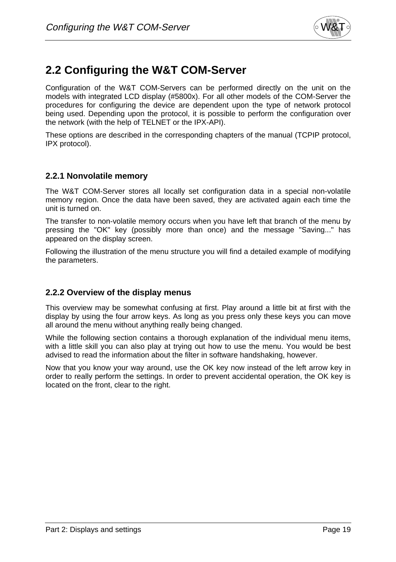

# **2.2 Configuring the W&T COM-Server**

Configuration of the W&T COM-Servers can be performed directly on the unit on the models with integrated LCD display (#5800x). For all other models of the COM-Server the procedures for configuring the device are dependent upon the type of network protocol being used. Depending upon the protocol, it is possible to perform the configuration over the network (with the help of TELNET or the IPX-API).

These options are described in the corresponding chapters of the manual (TCPIP protocol, IPX protocol).

# **2.2.1 Nonvolatile memory**

The W&T COM-Server stores all locally set configuration data in a special non-volatile memory region. Once the data have been saved, they are activated again each time the unit is turned on.

The transfer to non-volatile memory occurs when you have left that branch of the menu by pressing the "OK" key (possibly more than once) and the message "Saving..." has appeared on the display screen.

Following the illustration of the menu structure you will find a detailed example of modifying the parameters.

# **2.2.2 Overview of the display menus**

This overview may be somewhat confusing at first. Play around a little bit at first with the display by using the four arrow keys. As long as you press only these keys you can move all around the menu without anything really being changed.

While the following section contains a thorough explanation of the individual menu items, with a little skill you can also play at trying out how to use the menu. You would be best advised to read the information about the filter in software handshaking, however.

Now that you know your way around, use the OK key now instead of the left arrow key in order to really perform the settings. In order to prevent accidental operation, the OK key is located on the front, clear to the right.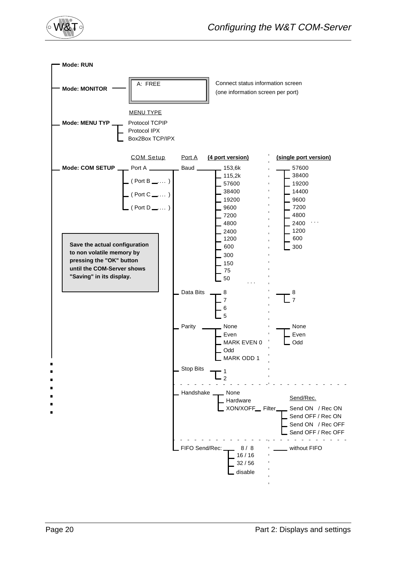

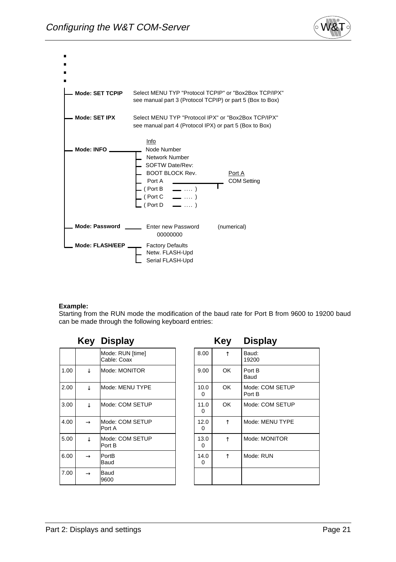



#### **Example:**

Starting from the RUN mode the modification of the baud rate for Port B from 9600 to 19200 baud can be made through the following keyboard entries:

|      |               | <b>Key Display</b>              |                  | Key | <b>Display</b>          |
|------|---------------|---------------------------------|------------------|-----|-------------------------|
|      |               | Mode: RUN [time]<br>Cable: Coax | 8.00             | ↑   | Baud:<br>19200          |
| 1.00 | T             | Mode: MONITOR                   | 9.00             | OK  | Port B<br>Baud          |
| 2.00 | T             | Mode: MENU TYPE                 | 10.0<br>0        | OK  | Mode: COM \$<br>Port B  |
| 3.00 | T             | Mode: COM SETUP                 | 11.0<br>0        | OK  | Mode: COM :             |
| 4.00 | $\rightarrow$ | Mode: COM SETUP<br>Port A       | 12.0<br>0        | ↑   | Mode: MENU              |
| 5.00 | T             | Mode: COM SETUP<br>Port B       | 13.0<br>0        | ↑   | Mode: MONI <sup>-</sup> |
| 6.00 | $\rightarrow$ | PortB<br>Baud                   | 14.0<br>$\Omega$ | ↑   | Mode: RUN               |
| 7.00 | $\rightarrow$ | Baud<br>9600                    |                  |     |                         |

|           | Key | <b>Display</b>            |
|-----------|-----|---------------------------|
| 8.00      |     | Baud:<br>19200            |
| 9.00      | OK  | Port B<br>Baud            |
| 10.0<br>0 | OK  | Mode: COM SETUP<br>Port B |
| 11.0<br>0 | OK  | Mode: COM SETUP           |
| 12.0<br>O | ↑   | Mode: MENU TYPE           |
| 13.0<br>0 | ↑   | Mode: MONITOR             |
| 14.0<br>0 | ↑   | Mode: RUN                 |
|           |     |                           |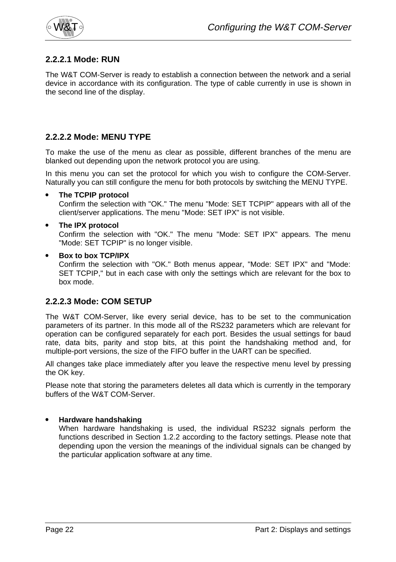

# **2.2.2.1 Mode: RUN**

The W&T COM-Server is ready to establish a connection between the network and a serial device in accordance with its configuration. The type of cable currently in use is shown in the second line of the display.

# **2.2.2.2 Mode: MENU TYPE**

To make the use of the menu as clear as possible, different branches of the menu are blanked out depending upon the network protocol you are using.

In this menu you can set the protocol for which you wish to configure the COM-Server. Naturally you can still configure the menu for both protocols by switching the MENU TYPE.

**The TCPIP protocol**

Confirm the selection with "OK." The menu "Mode: SET TCPIP" appears with all of the client/server applications. The menu "Mode: SET IPX" is not visible.

**The IPX protocol**

Confirm the selection with "OK." The menu "Mode: SET IPX" appears. The menu "Mode: SET TCPIP" is no longer visible.

**Box to box TCP/IPX**

Confirm the selection with "OK." Both menus appear, "Mode: SET IPX" and "Mode: SET TCPIP," but in each case with only the settings which are relevant for the box to box mode.

# **2.2.2.3 Mode: COM SETUP**

The W&T COM-Server, like every serial device, has to be set to the communication parameters of its partner. In this mode all of the RS232 parameters which are relevant for operation can be configured separately for each port. Besides the usual settings for baud rate, data bits, parity and stop bits, at this point the handshaking method and, for multiple-port versions, the size of the FIFO buffer in the UART can be specified.

All changes take place immediately after you leave the respective menu level by pressing the OK key.

Please note that storing the parameters deletes all data which is currently in the temporary buffers of the W&T COM-Server.

## **Hardware handshaking**

When hardware handshaking is used, the individual RS232 signals perform the functions described in Section 1.2.2 according to the factory settings. Please note that depending upon the version the meanings of the individual signals can be changed by the particular application software at any time.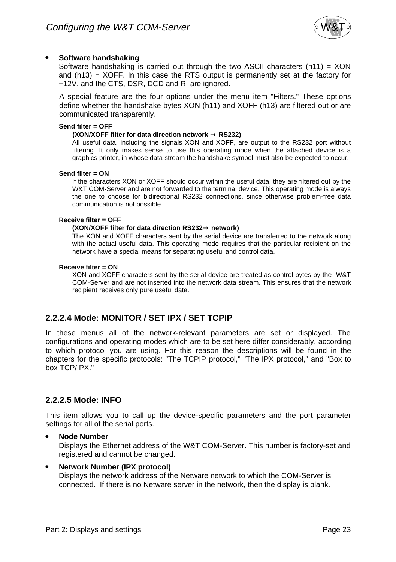

# **Software handshaking**

Software handshaking is carried out through the two ASCII characters (h11) =  $XON$ and  $(h13)$  = XOFF. In this case the RTS output is permanently set at the factory for +12V, and the CTS, DSR, DCD and RI are ignored.

A special feature are the four options under the menu item "Filters." These options define whether the handshake bytes XON (h11) and XOFF (h13) are filtered out or are communicated transparently.

# **Send filter = OFF**

## **(XON/XOFF filter for data direction network** → **RS232)**

All useful data, including the signals XON and XOFF, are output to the RS232 port without filtering. It only makes sense to use this operating mode when the attached device is a graphics printer, in whose data stream the handshake symbol must also be expected to occur.

# **Send filter = ON**

If the characters XON or XOFF should occur within the useful data, they are filtered out by the W&T COM-Server and are not forwarded to the terminal device. This operating mode is always the one to choose for bidirectional RS232 connections, since otherwise problem-free data communication is not possible.

# **Receive filter = OFF**

## **(XON/XOFF filter for data direction RS232**→ **network)**

The XON and XOFF characters sent by the serial device are transferred to the network along with the actual useful data. This operating mode requires that the particular recipient on the network have a special means for separating useful and control data.

## **Receive filter = ON**

XON and XOFF characters sent by the serial device are treated as control bytes by the W&T COM-Server and are not inserted into the network data stream. This ensures that the network recipient receives only pure useful data.

# **2.2.2.4 Mode: MONITOR / SET IPX / SET TCPIP**

In these menus all of the network-relevant parameters are set or displayed. The configurations and operating modes which are to be set here differ considerably, according to which protocol you are using. For this reason the descriptions will be found in the chapters for the specific protocols: "The TCPIP protocol," "The IPX protocol," and "Box to box TCP/IPX."

# **2.2.2.5 Mode: INFO**

This item allows you to call up the device-specific parameters and the port parameter settings for all of the serial ports.

# **Node Number**

Displays the Ethernet address of the W&T COM-Server. This number is factory-set and registered and cannot be changed.

# **Network Number (IPX protocol)**

Displays the network address of the Netware network to which the COM-Server is connected. If there is no Netware server in the network, then the display is blank.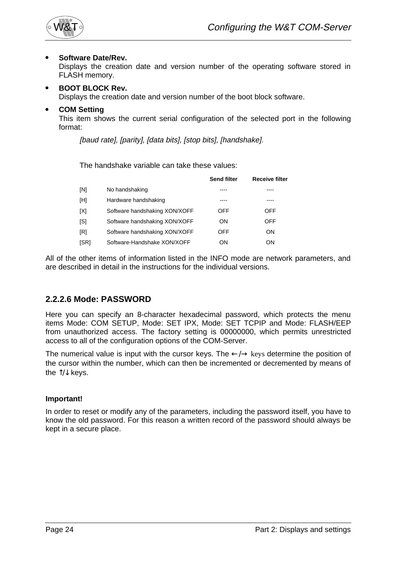



# **Software Date/Rev.**

Displays the creation date and version number of the operating software stored in FLASH memory.

# **BOOT BLOCK Rev.**

Displays the creation date and version number of the boot block software.

# **COM Setting**

This item shows the current serial configuration of the selected port in the following format:

[baud rate], [parity], [data bits], [stop bits], [handshake].

The handshake variable can take these values:

|      |                               | <b>Send filter</b> | <b>Receive filter</b> |
|------|-------------------------------|--------------------|-----------------------|
| [N]  | No handshaking                |                    |                       |
| [H]  | Hardware handshaking          |                    |                       |
| [X]  | Software handshaking XON/XOFF | OFF                | OFF                   |
| [S]  | Software handshaking XON/XOFF | ON                 | OFF                   |
| [R]  | Software handshaking XON/XOFF | OFF                | ON                    |
| [SR] | Software-Handshake XON/XOFF   | ON                 | ON.                   |

All of the other items of information listed in the INFO mode are network parameters, and are described in detail in the instructions for the individual versions.

# **2.2.2.6 Mode: PASSWORD**

Here you can specify an 8-character hexadecimal password, which protects the menu items Mode: COM SETUP, Mode: SET IPX, Mode: SET TCPIP and Mode: FLASH/EEP from unauthorized access. The factory setting is 00000000, which permits unrestricted access to all of the configuration options of the COM-Server.

The numerical value is input with the cursor keys. The  $\leftarrow/\rightarrow$  keys determine the position of the cursor within the number, which can then be incremented or decremented by means of the ↑/↓ keys.

# **Important!**

In order to reset or modify any of the parameters, including the password itself, you have to know the old password. For this reason a written record of the password should always be kept in a secure place.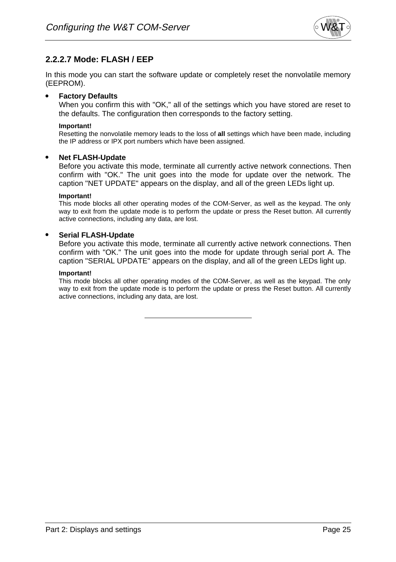

# **2.2.2.7 Mode: FLASH / EEP**

In this mode you can start the software update or completely reset the nonvolatile memory (EEPROM).

# **Factory Defaults**

When you confirm this with "OK," all of the settings which you have stored are reset to the defaults. The configuration then corresponds to the factory setting.

#### **Important!**

Resetting the nonvolatile memory leads to the loss of **all** settings which have been made, including the IP address or IPX port numbers which have been assigned.

## **Net FLASH-Update**

Before you activate this mode, terminate all currently active network connections. Then confirm with "OK." The unit goes into the mode for update over the network. The caption "NET UPDATE" appears on the display, and all of the green LEDs light up.

#### **Important!**

This mode blocks all other operating modes of the COM-Server, as well as the keypad. The only way to exit from the update mode is to perform the update or press the Reset button. All currently active connections, including any data, are lost.

# **Serial FLASH-Update**

Before you activate this mode, terminate all currently active network connections. Then confirm with "OK." The unit goes into the mode for update through serial port A. The caption "SERIAL UPDATE" appears on the display, and all of the green LEDs light up.

#### **Important!**

This mode blocks all other operating modes of the COM-Server, as well as the keypad. The only way to exit from the update mode is to perform the update or press the Reset button. All currently active connections, including any data, are lost.

 $\overline{a}$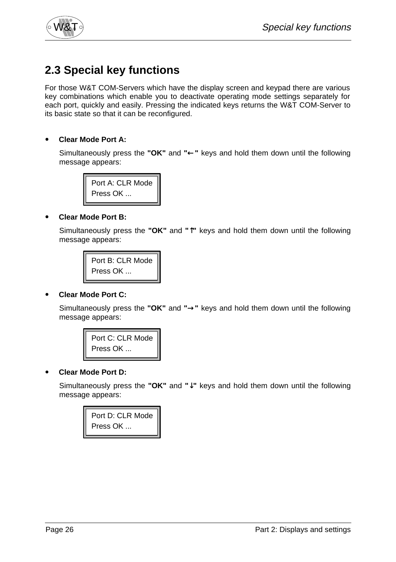

# **2.3 Special key functions**

For those W&T COM-Servers which have the display screen and keypad there are various key combinations which enable you to deactivate operating mode settings separately for each port, quickly and easily. Pressing the indicated keys returns the W&T COM-Server to its basic state so that it can be reconfigured.

# **Clear Mode Port A:**

Simultaneously press the **"OK"** and **"**←**"** keys and hold them down until the following message appears:

Port A: CLR Mode Press OK ...

# **Clear Mode Port B:**

Simultaneously press the **"OK"** and **"**↑**"** keys and hold them down until the following message appears:

Port B: CLR Mode Press OK ...

# **Clear Mode Port C:**

Simultaneously press the **"OK"** and **"**→**"** keys and hold them down until the following message appears:



# **Clear Mode Port D:**

Simultaneously press the **"OK"** and **"**↓**"** keys and hold them down until the following message appears:

> Port D: CLR Mode Press OK ...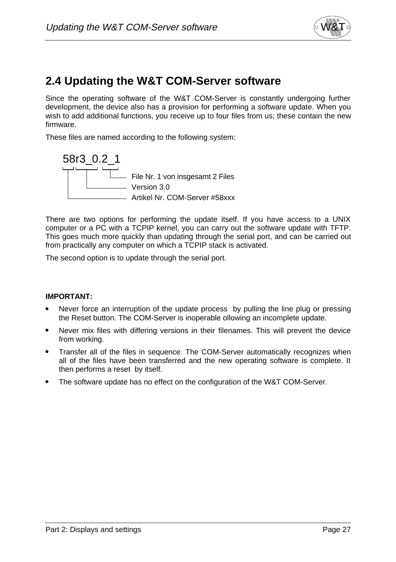

# **2.4 Updating the W&T COM-Server software**

Since the operating software of the W&T COM-Server is constantly undergoing further development, the device also has a provision for performing a software update. When you wish to add additional functions, you receive up to four files from us; these contain the new firmware.

These files are named according to the following system:



There are two options for performing the update itself. If you have access to a UNIX computer or a PC with a TCPIP kernel, you can carry out the software update with TFTP. This goes much more quickly than updating through the serial port, and can be carried out from practically any computer on which a TCPIP stack is activated.

The second option is to update through the serial port.

# **IMPORTANT:**

- Never force an interruption of the update process by pulling the line plug or pressing the Reset button. The COM-Server is inoperable ollowing an incomplete update.
- Never mix files with differing versions in their filenames. This will prevent the device from working.
- Transfer all of the files in sequence. The COM-Server automatically recognizes when all of the files have been transferred and the new operating software is complete. It then performs a reset by itself.
- The software update has no effect on the configuration of the W&T COM-Server.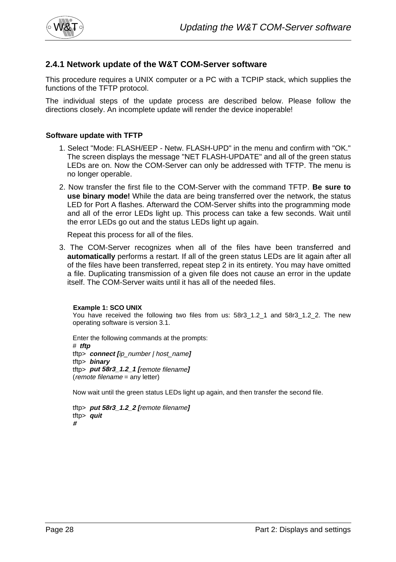

# **2.4.1 Network update of the W&T COM-Server software**

This procedure requires a UNIX computer or a PC with a TCPIP stack, which supplies the functions of the TFTP protocol.

The individual steps of the update process are described below. Please follow the directions closely. An incomplete update will render the device inoperable!

# **Software update with TFTP**

- 1. Select "Mode: FLASH/EEP Netw. FLASH-UPD" in the menu and confirm with "OK." The screen displays the message "NET FLASH-UPDATE" and all of the green status LEDs are on. Now the COM-Server can only be addressed with TFTP. The menu is no longer operable.
- 2. Now transfer the first file to the COM-Server with the command TFTP. **Be sure to use binary mode!** While the data are being transferred over the network, the status LED for Port A flashes. Afterward the COM-Server shifts into the programming mode and all of the error LEDs light up. This process can take a few seconds. Wait until the error LEDs go out and the status LEDs light up again.

Repeat this process for all of the files.

3. The COM-Server recognizes when all of the files have been transferred and **automatically** performs a restart. If all of the green status LEDs are lit again after all of the files have been transferred, repeat step 2 in its entirety. You may have omitted a file. Duplicating transmission of a given file does not cause an error in the update itself. The COM-Server waits until it has all of the needed files.

#### **Example 1: SCO UNIX**

You have received the following two files from us: 58r3\_1.2\_1 and 58r3\_1.2\_2. The new operating software is version 3.1.

Enter the following commands at the prompts: # **tftp** tftp> **connect [**ip\_number | host\_name**]** tftp> **binary** tftp> **put 58r3\_1.2\_1 [**remote filename**]** (remote filename = any letter)

Now wait until the green status LEDs light up again, and then transfer the second file.

```
tftp> put 58r3_1.2_2 [remote filename]
tftp> quit 
#
```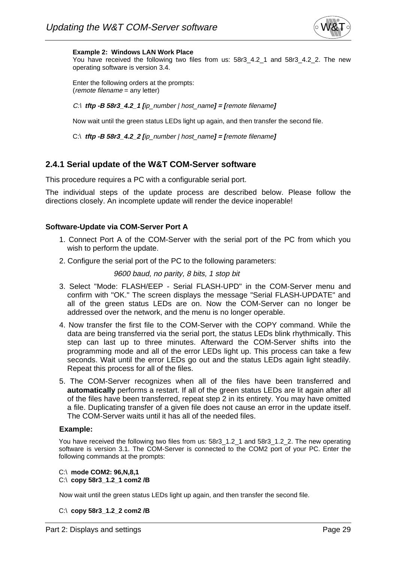

#### **Example 2: Windows LAN Work Place**

You have received the following two files from us: 58r3 4.2 1 and 58r3 4.2 2. The new operating software is version 3.4.

Enter the following orders at the prompts: (remote filename = any letter)

C:\ **tftp -B 58r3\_4.2\_1 [**ip\_number | host\_name**] = [**remote filename**]**

Now wait until the green status LEDs light up again, and then transfer the second file.

C:\ **tftp -B 58r3\_4.2\_2 [**ip\_number | host\_name**] = [**remote filename**]**

# **2.4.1 Serial update of the W&T COM-Server software**

This procedure requires a PC with a configurable serial port.

The individual steps of the update process are described below. Please follow the directions closely. An incomplete update will render the device inoperable!

# **Software-Update via COM-Server Port A**

- 1. Connect Port A of the COM-Server with the serial port of the PC from which you wish to perform the update.
- 2. Configure the serial port of the PC to the following parameters:

# 9600 baud, no parity, 8 bits, 1 stop bit

- 3. Select "Mode: FLASH/EEP Serial FLASH-UPD" in the COM-Server menu and confirm with "OK." The screen displays the message "Serial FLASH-UPDATE" and all of the green status LEDs are on. Now the COM-Server can no longer be addressed over the network, and the menu is no longer operable.
- 4. Now transfer the first file to the COM-Server with the COPY command. While the data are being transferred via the serial port, the status LEDs blink rhythmically. This step can last up to three minutes. Afterward the COM-Server shifts into the programming mode and all of the error LEDs light up. This process can take a few seconds. Wait until the error LEDs go out and the status LEDs again light steadily. Repeat this process for all of the files.
- 5. The COM-Server recognizes when all of the files have been transferred and **automatically** performs a restart. If all of the green status LEDs are lit again after all of the files have been transferred, repeat step 2 in its entirety. You may have omitted a file. Duplicating transfer of a given file does not cause an error in the update itself. The COM-Server waits until it has all of the needed files.

## **Example:**

You have received the following two files from us:  $58r3_1.2_1$  and  $58r3_1.2_2$ . The new operating software is version 3.1. The COM-Server is connected to the COM2 port of your PC. Enter the following commands at the prompts:

C:\ **mode COM2: 96,N,8,1**  C:\ **copy 58r3\_1.2\_1 com2 /B**

Now wait until the green status LEDs light up again, and then transfer the second file.

C:\ **copy 58r3\_1.2\_2 com2 /B**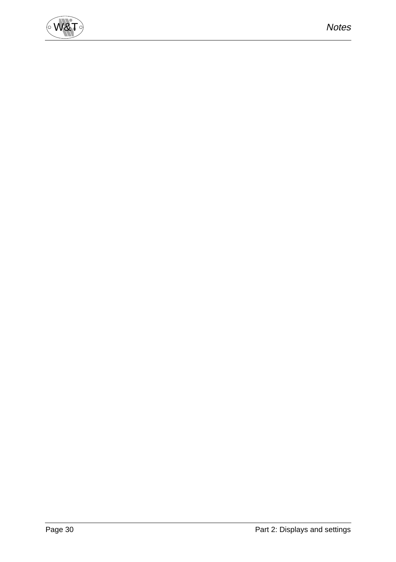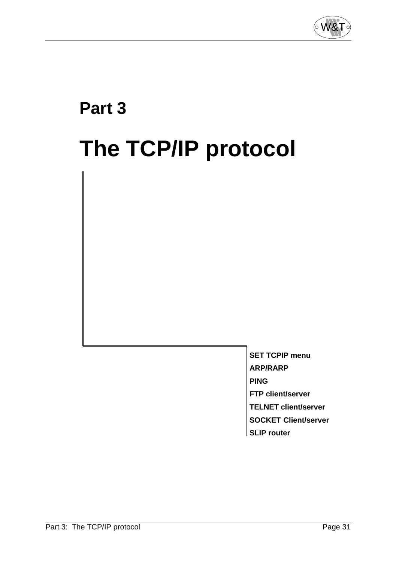

# **Part 3 The TCP/IP protocol**

**SET TCPIP menu ARP/RARP PING FTP client/server TELNET client/server SOCKET Client/server SLIP router**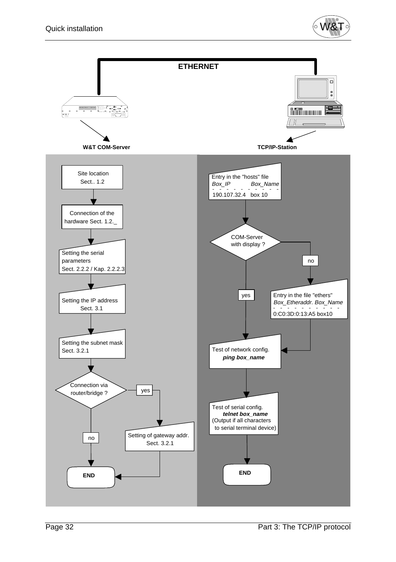

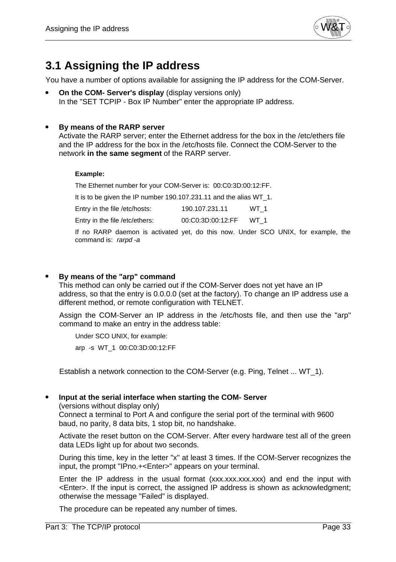

# **3.1 Assigning the IP address**

You have a number of options available for assigning the IP address for the COM-Server.

**On the COM- Server's display** (display versions only) In the "SET TCPIP - Box IP Number" enter the appropriate IP address.

#### **By means of the RARP server**

Activate the RARP server; enter the Ethernet address for the box in the /etc/ethers file and the IP address for the box in the /etc/hosts file. Connect the COM-Server to the network **in the same segment** of the RARP server.

#### **Example:**

The Ethernet number for your COM-Server is: 00:C0:3D:00:12:FF.

It is to be given the IP number 190.107.231.11 and the alias WT\_1.

| 190.107.231.11 |        |
|----------------|--------|
|                | $WT_1$ |

Entry in the file /etc/ethers: 00:C0:3D:00:12:FF WT\_1

If no RARP daemon is activated yet, do this now. Under SCO UNIX, for example, the command is: rarpd -a

#### **By means of the "arp" command**

This method can only be carried out if the COM-Server does not yet have an IP address, so that the entry is 0.0.0.0 (set at the factory). To change an IP address use a different method, or remote configuration with TELNET.

Assign the COM-Server an IP address in the /etc/hosts file, and then use the "arp" command to make an entry in the address table:

Under SCO UNIX, for example:

arp -s WT\_1 00:C0:3D:00:12:FF

Establish a network connection to the COM-Server (e.g. Ping, Telnet ... WT\_1).

#### **Input at the serial interface when starting the COM- Server**

(versions without display only)

Connect a terminal to Port A and configure the serial port of the terminal with 9600 baud, no parity, 8 data bits, 1 stop bit, no handshake.

Activate the reset button on the COM-Server. After every hardware test all of the green data LEDs light up for about two seconds.

During this time, key in the letter "x" at least 3 times. If the COM-Server recognizes the input, the prompt "IPno.+<Enter>" appears on your terminal.

Enter the IP address in the usual format (xxx.xxx.xxx.xxx) and end the input with <Enter>. If the input is correct, the assigned IP address is shown as acknowledgment; otherwise the message "Failed" is displayed.

The procedure can be repeated any number of times.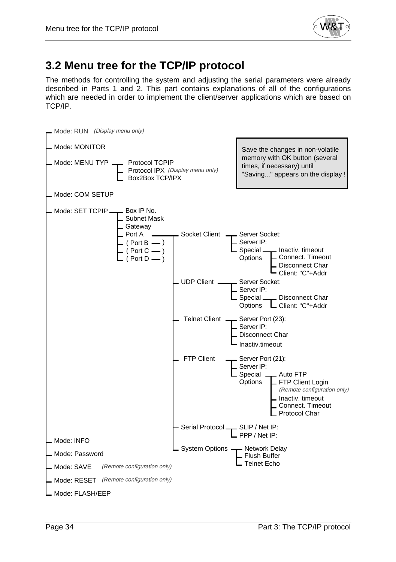

# **3.2 Menu tree for the TCP/IP protocol**

The methods for controlling the system and adjusting the serial parameters were already described in Parts 1 and 2. This part contains explanations of all of the configurations which are needed in order to implement the client/server applications which are based on TCP/IP.

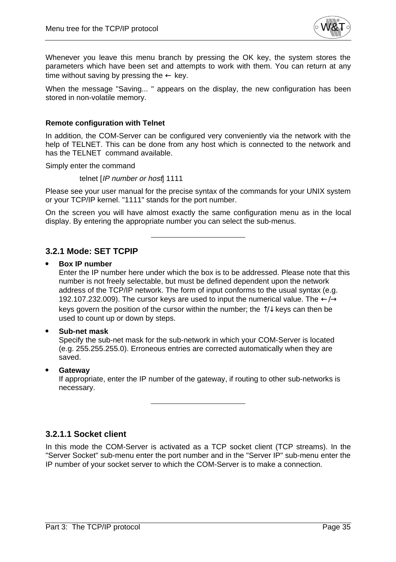

Whenever you leave this menu branch by pressing the OK key, the system stores the parameters which have been set and attempts to work with them. You can return at any time without saving by pressing the  $\leftarrow$  key.

When the message "Saving... " appears on the display, the new configuration has been stored in non-volatile memory.

#### **Remote configuration with Telnet**

In addition, the COM-Server can be configured very conveniently via the network with the help of TELNET. This can be done from any host which is connected to the network and has the TELNET command available.

Simply enter the command

telnet [IP number or host] 1111

 $\overline{a}$ 

 $\overline{a}$ 

Please see your user manual for the precise syntax of the commands for your UNIX system or your TCP/IP kernel. "1111" stands for the port number.

On the screen you will have almost exactly the same configuration menu as in the local display. By entering the appropriate number you can select the sub-menus.

**3.2.1 Mode: SET TCPIP**

#### **Box IP number**

Enter the IP number here under which the box is to be addressed. Please note that this number is not freely selectable, but must be defined dependent upon the network address of the TCP/IP network. The form of input conforms to the usual syntax (e.g. 192.107.232.009). The cursor keys are used to input the numerical value. The  $\leftarrow/\rightarrow$ keys govern the position of the cursor within the number; the  $\uparrow/\downarrow$  keys can then be used to count up or down by steps.

#### **Sub-net mask**

Specify the sub-net mask for the sub-network in which your COM-Server is located (e.g. 255.255.255.0). Erroneous entries are corrected automatically when they are saved.

#### **Gateway**

If appropriate, enter the IP number of the gateway, if routing to other sub-networks is necessary.

#### **3.2.1.1 Socket client**

In this mode the COM-Server is activated as a TCP socket client (TCP streams). In the "Server Socket" sub-menu enter the port number and in the "Server IP" sub-menu enter the IP number of your socket server to which the COM-Server is to make a connection.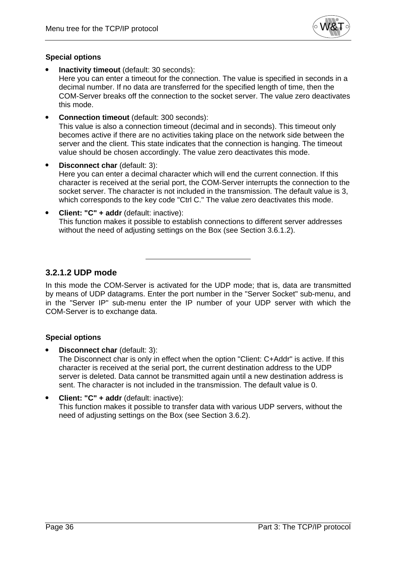

#### **Special options**

- **Inactivity timeout** (default: 30 seconds): Here you can enter a timeout for the connection. The value is specified in seconds in a decimal number. If no data are transferred for the specified length of time, then the COM-Server breaks off the connection to the socket server. The value zero deactivates this mode.
- **Connection timeout** (default: 300 seconds): This value is also a connection timeout (decimal and in seconds). This timeout only becomes active if there are no activities taking place on the network side between the server and the client. This state indicates that the connection is hanging. The timeout value should be chosen accordingly. The value zero deactivates this mode.
- **Disconnect char (default: 3):** Here you can enter a decimal character which will end the current connection. If this character is received at the serial port, the COM-Server interrupts the connection to the socket server. The character is not included in the transmission. The default value is 3, which corresponds to the key code "Ctrl C." The value zero deactivates this mode.
- **Client: "C" + addr** (default: inactive): This function makes it possible to establish connections to different server addresses without the need of adjusting settings on the Box (see Section 3.6.1.2).

 $\overline{a}$ 

#### **3.2.1.2 UDP mode**

In this mode the COM-Server is activated for the UDP mode; that is, data are transmitted by means of UDP datagrams. Enter the port number in the "Server Socket" sub-menu, and in the "Server IP" sub-menu enter the IP number of your UDP server with which the COM-Server is to exchange data.

#### **Special options**

**Disconnect char** (default: 3):

The Disconnect char is only in effect when the option "Client: C+Addr" is active. If this character is received at the serial port, the current destination address to the UDP server is deleted. Data cannot be transmitted again until a new destination address is sent. The character is not included in the transmission. The default value is 0.

**Client: "C" + addr** (default: inactive): This function makes it possible to transfer data with various UDP servers, without the need of adjusting settings on the Box (see Section 3.6.2).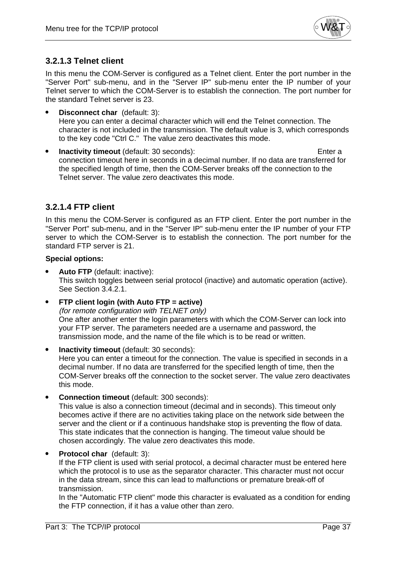

#### **3.2.1.3 Telnet client**

In this menu the COM-Server is configured as a Telnet client. Enter the port number in the "Server Port" sub-menu, and in the "Server IP" sub-menu enter the IP number of your Telnet server to which the COM-Server is to establish the connection. The port number for the standard Telnet server is 23.

- **Disconnect char** (default: 3): Here you can enter a decimal character which will end the Telnet connection. The character is not included in the transmission. The default value is 3, which corresponds to the key code "Ctrl C." The value zero deactivates this mode.
- **Inactivity timeout** (default: 30 seconds): Enter a connection timeout here in seconds in a decimal number. If no data are transferred for the specified length of time, then the COM-Server breaks off the connection to the Telnet server. The value zero deactivates this mode.

#### **3.2.1.4 FTP client**

In this menu the COM-Server is configured as an FTP client. Enter the port number in the "Server Port" sub-menu, and in the "Server IP" sub-menu enter the IP number of your FTP server to which the COM-Server is to establish the connection. The port number for the standard FTP server is 21.

#### **Special options:**

- **Auto FTP** (default: inactive): This switch toggles between serial protocol (inactive) and automatic operation (active). See Section 3.4.2.1.
- **FTP client login (with Auto FTP = active)** (for remote configuration with TELNET only) One after another enter the login parameters with which the COM-Server can lock into your FTP server. The parameters needed are a username and password, the transmission mode, and the name of the file which is to be read or written.
- **Inactivity timeout** (default: 30 seconds): Here you can enter a timeout for the connection. The value is specified in seconds in a decimal number. If no data are transferred for the specified length of time, then the COM-Server breaks off the connection to the socket server. The value zero deactivates this mode.
- **Connection timeout** (default: 300 seconds):

This value is also a connection timeout (decimal and in seconds). This timeout only becomes active if there are no activities taking place on the network side between the server and the client or if a continuous handshake stop is preventing the flow of data. This state indicates that the connection is hanging. The timeout value should be chosen accordingly. The value zero deactivates this mode.

**Protocol char** (default: 3):

If the FTP client is used with serial protocol, a decimal character must be entered here which the protocol is to use as the separator character. This character must not occur in the data stream, since this can lead to malfunctions or premature break-off of transmission.

In the "Automatic FTP client" mode this character is evaluated as a condition for ending the FTP connection, if it has a value other than zero.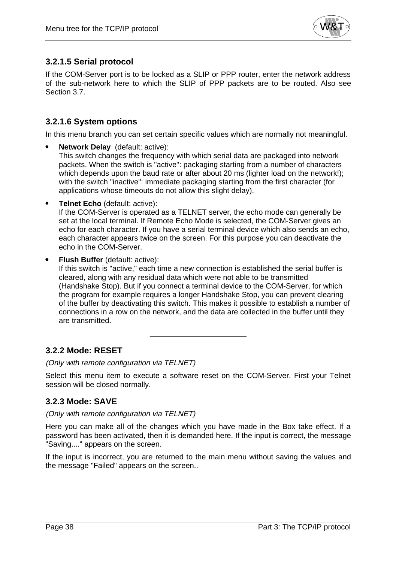

#### **3.2.1.5 Serial protocol**

If the COM-Server port is to be locked as a SLIP or PPP router, enter the network address of the sub-network here to which the SLIP of PPP packets are to be routed. Also see Section 3.7.

#### **3.2.1.6 System options**

In this menu branch you can set certain specific values which are normally not meaningful.

 $\overline{a}$ 

**Network Delay** (default: active): This switch changes the frequency with which serial data are packaged into network packets. When the switch is "active": packaging starting from a number of characters which depends upon the baud rate or after about 20 ms (lighter load on the network!); with the switch "inactive": immediate packaging starting from the first character (for applications whose timeouts do not allow this slight delay).

- **Telnet Echo** (default: active): If the COM-Server is operated as a TELNET server, the echo mode can generally be set at the local terminal. If Remote Echo Mode is selected, the COM-Server gives an echo for each character. If you have a serial terminal device which also sends an echo, each character appears twice on the screen. For this purpose you can deactivate the echo in the COM-Server.
- **Flush Buffer** (default: active):

If this switch is "active," each time a new connection is established the serial buffer is cleared, along with any residual data which were not able to be transmitted (Handshake Stop). But if you connect a terminal device to the COM-Server, for which the program for example requires a longer Handshake Stop, you can prevent clearing of the buffer by deactivating this switch. This makes it possible to establish a number of connections in a row on the network, and the data are collected in the buffer until they are transmitted.

#### **3.2.2 Mode: RESET**

(Only with remote configuration via TELNET)

l

Select this menu item to execute a software reset on the COM-Server. First your Telnet session will be closed normally.

#### **3.2.3 Mode: SAVE**

(Only with remote configuration via TELNET)

Here you can make all of the changes which you have made in the Box take effect. If a password has been activated, then it is demanded here. If the input is correct, the message "Saving...." appears on the screen.

If the input is incorrect, you are returned to the main menu without saving the values and the message "Failed" appears on the screen..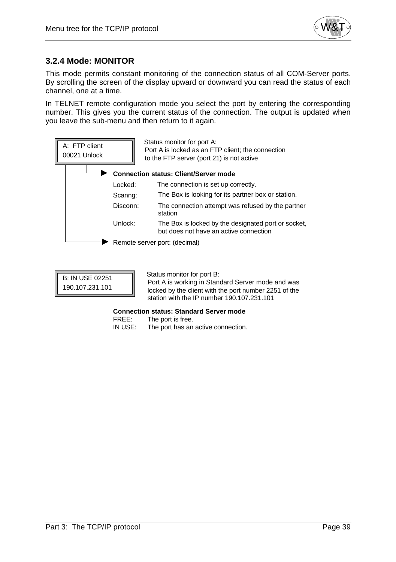

#### **3.2.4 Mode: MONITOR**

This mode permits constant monitoring of the connection status of all COM-Server ports. By scrolling the screen of the display upward or downward you can read the status of each channel, one at a time.

In TELNET remote configuration mode you select the port by entering the corresponding number. This gives you the current status of the connection. The output is updated when you leave the sub-menu and then return to it again.

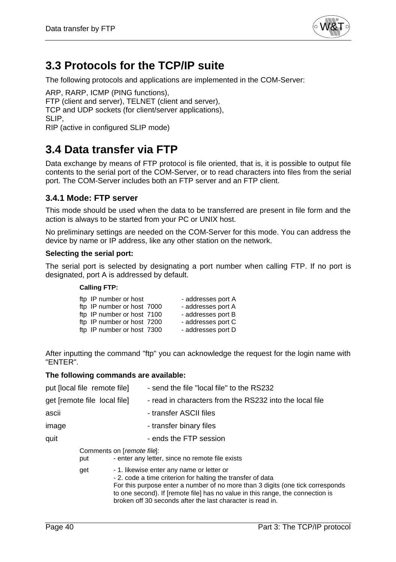

# **3.3 Protocols for the TCP/IP suite**

The following protocols and applications are implemented in the COM-Server:

ARP, RARP, ICMP (PING functions),

FTP (client and server), TELNET (client and server),

TCP and UDP sockets (for client/server applications),

SLIP,

RIP (active in configured SLIP mode)

# **3.4 Data transfer via FTP**

Data exchange by means of FTP protocol is file oriented, that is, it is possible to output file contents to the serial port of the COM-Server, or to read characters into files from the serial port. The COM-Server includes both an FTP server and an FTP client.

#### **3.4.1 Mode: FTP server**

This mode should be used when the data to be transferred are present in file form and the action is always to be started from your PC or UNIX host.

No preliminary settings are needed on the COM-Server for this mode. You can address the device by name or IP address, like any other station on the network.

#### **Selecting the serial port:**

The serial port is selected by designating a port number when calling FTP. If no port is designated, port A is addressed by default.

#### **Calling FTP:**

| ftp IP number or host      | - addresses port A |
|----------------------------|--------------------|
| ftp IP number or host 7000 | - addresses port A |
| ftp IP number or host 7100 | - addresses port B |
| ftp IP number or host 7200 | - addresses port C |
| ftp IP number or host 7300 | - addresses port D |

After inputting the command "ftp" you can acknowledge the request for the login name with "ENTER".

#### **The following commands are available:**

| put local file remote file]                                                                                                                                                                                                                                           |  |                                                                                                                                                                  | - send the file "local file" to the RS232               |  |
|-----------------------------------------------------------------------------------------------------------------------------------------------------------------------------------------------------------------------------------------------------------------------|--|------------------------------------------------------------------------------------------------------------------------------------------------------------------|---------------------------------------------------------|--|
| get [remote file local file]                                                                                                                                                                                                                                          |  |                                                                                                                                                                  | - read in characters from the RS232 into the local file |  |
| ascii                                                                                                                                                                                                                                                                 |  |                                                                                                                                                                  | - transfer ASCII files                                  |  |
| image                                                                                                                                                                                                                                                                 |  |                                                                                                                                                                  | - transfer binary files                                 |  |
| quit                                                                                                                                                                                                                                                                  |  |                                                                                                                                                                  | - ends the FTP session                                  |  |
| Comments on [remote file]:<br>- enter any letter, since no remote file exists<br>put<br>- 1. likewise enter any name or letter or<br>get<br>- 2. code a time criterion for halting the transfer of data<br>broken off 30 seconds after the last character is read in. |  |                                                                                                                                                                  |                                                         |  |
|                                                                                                                                                                                                                                                                       |  | For this purpose enter a number of no more than 3 digits (one tick corresponds<br>to one second). If [remote file] has no value in this range, the connection is |                                                         |  |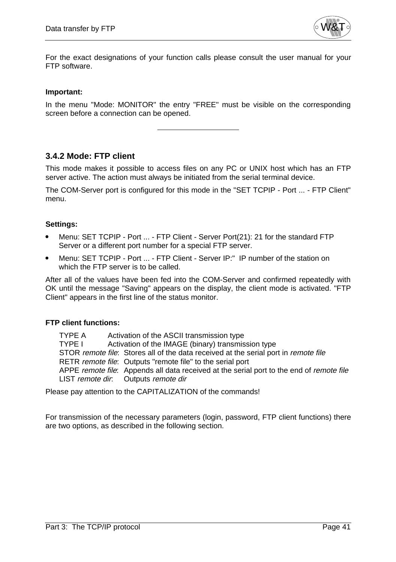

For the exact designations of your function calls please consult the user manual for your FTP software.

#### **Important:**

In the menu "Mode: MONITOR" the entry "FREE" must be visible on the corresponding screen before a connection can be opened.

 $\overline{a}$ 

#### **3.4.2 Mode: FTP client**

This mode makes it possible to access files on any PC or UNIX host which has an FTP server active. The action must always be initiated from the serial terminal device.

The COM-Server port is configured for this mode in the "SET TCPIP - Port ... - FTP Client" menu.

#### **Settings:**

- Menu: SET TCPIP Port ... FTP Client Server Port(21): 21 for the standard FTP Server or a different port number for a special FTP server.
- Menu: SET TCPIP Port ... FTP Client Server IP:" IP number of the station on which the FTP server is to be called.

After all of the values have been fed into the COM-Server and confirmed repeatedly with OK until the message "Saving" appears on the display, the client mode is activated. "FTP Client" appears in the first line of the status monitor.

#### **FTP client functions:**

| TYPE A | Activation of the ASCII transmission type                                                |
|--------|------------------------------------------------------------------------------------------|
| TYPE I | Activation of the IMAGE (binary) transmission type                                       |
|        | STOR remote file: Stores all of the data received at the serial port in remote file      |
|        | RETR <i>remote file</i> : Outputs "remote file" to the serial port                       |
|        | APPE remote file: Appends all data received at the serial port to the end of remote file |
|        | LIST remote dir. Outputs remote dir                                                      |

Please pay attention to the CAPITALIZATION of the commands!

For transmission of the necessary parameters (login, password, FTP client functions) there are two options, as described in the following section.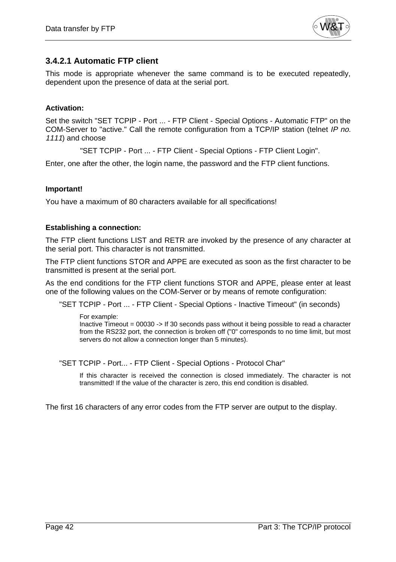

#### **3.4.2.1 Automatic FTP client**

This mode is appropriate whenever the same command is to be executed repeatedly, dependent upon the presence of data at the serial port.

#### **Activation:**

Set the switch "SET TCPIP - Port ... - FTP Client - Special Options - Automatic FTP" on the COM-Server to "active." Call the remote configuration from a TCP/IP station (telnet IP no. 1111) and choose

"SET TCPIP - Port ... - FTP Client - Special Options - FTP Client Login".

Enter, one after the other, the login name, the password and the FTP client functions.

#### **Important!**

You have a maximum of 80 characters available for all specifications!

#### **Establishing a connection:**

The FTP client functions LIST and RETR are invoked by the presence of any character at the serial port. This character is not transmitted.

The FTP client functions STOR and APPE are executed as soon as the first character to be transmitted is present at the serial port.

As the end conditions for the FTP client functions STOR and APPE, please enter at least one of the following values on the COM-Server or by means of remote configuration:

"SET TCPIP - Port ... - FTP Client - Special Options - Inactive Timeout" (in seconds)

For example:

Inactive Timeout =  $0.0030 \rightarrow$  If 30 seconds pass without it being possible to read a character from the RS232 port, the connection is broken off ("0" corresponds to no time limit, but most servers do not allow a connection longer than 5 minutes).

"SET TCPIP - Port... - FTP Client - Special Options - Protocol Char"

If this character is received the connection is closed immediately. The character is not transmitted! If the value of the character is zero, this end condition is disabled.

The first 16 characters of any error codes from the FTP server are output to the display.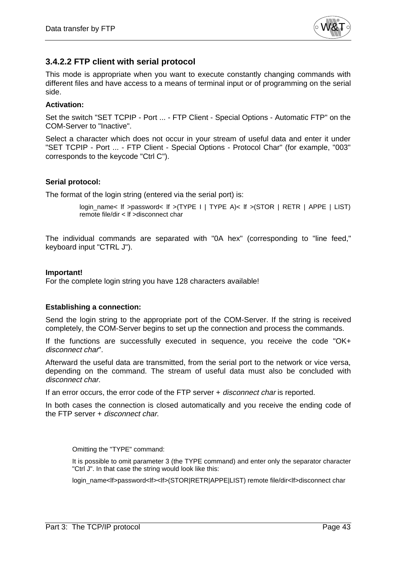

#### **3.4.2.2 FTP client with serial protocol**

This mode is appropriate when you want to execute constantly changing commands with different files and have access to a means of terminal input or of programming on the serial side.

#### **Activation:**

Set the switch "SET TCPIP - Port ... - FTP Client - Special Options - Automatic FTP" on the COM-Server to "Inactive".

Select a character which does not occur in your stream of useful data and enter it under "SET TCPIP - Port ... - FTP Client - Special Options - Protocol Char" (for example, "003" corresponds to the keycode "Ctrl C").

#### **Serial protocol:**

The format of the login string (entered via the serial port) is:

login\_name< lf >password< lf >(TYPE I | TYPE A)< lf >(STOR | RETR | APPE | LIST) remote file/dir < lf >disconnect char

The individual commands are separated with "0A hex" (corresponding to "line feed," keyboard input "CTRL J").

#### **Important!**

For the complete login string you have 128 characters available!

#### **Establishing a connection:**

Send the login string to the appropriate port of the COM-Server. If the string is received completely, the COM-Server begins to set up the connection and process the commands.

If the functions are successfully executed in sequence, you receive the code "OK+ disconnect char".

Afterward the useful data are transmitted, from the serial port to the network or vice versa, depending on the command. The stream of useful data must also be concluded with disconnect char.

If an error occurs, the error code of the FTP server + disconnect char is reported.

In both cases the connection is closed automatically and you receive the ending code of the FTP server + disconnect char.

Omitting the "TYPE" command:

It is possible to omit parameter 3 (the TYPE command) and enter only the separator character "Ctrl J". In that case the string would look like this:

login\_name<lf>password<lf><lf>(STOR|RETR|APPE|LIST) remote file/dir<lf>disconnect char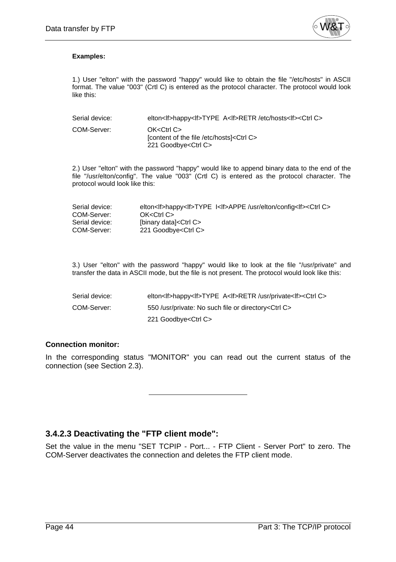

#### **Examples:**

1.) User "elton" with the password "happy" would like to obtain the file "/etc/hosts" in ASCII format. The value "003" (Crtl C) is entered as the protocol character. The protocol would look like this:

| Serial device: |  | elton <lf>happy<lf>TYPE A<lf>RETR /etc/hosts<lf><ctrl c=""></ctrl></lf></lf></lf></lf> |
|----------------|--|----------------------------------------------------------------------------------------|
|----------------|--|----------------------------------------------------------------------------------------|

| COM-Server: | $OK <$ Ctrl $Cs$                                    |
|-------------|-----------------------------------------------------|
|             | [content of the file /etc/hosts] <ctrl c=""></ctrl> |
|             | 221 Goodbye <ctrl c=""></ctrl>                      |

2.) User "elton" with the password "happy" would like to append binary data to the end of the file "/usr/elton/config". The value "003" (Crtl C) is entered as the protocol character. The protocol would look like this:

| Serial device: | elton <lf>happy<lf>TYPE l<lf>APPE /usr/elton/config<lf><ctrl c=""></ctrl></lf></lf></lf></lf> |
|----------------|-----------------------------------------------------------------------------------------------|
| COM-Server:    | $OK <$ Ctrl $C$ >                                                                             |
| Serial device: | [binary data] <ctrl c=""></ctrl>                                                              |
| COM-Server:    | 221 Goodbye <ctrl c=""></ctrl>                                                                |

3.) User "elton" with the password "happy" would like to look at the file "/usr/private" and transfer the data in ASCII mode, but the file is not present. The protocol would look like this:

| Serial device: | elton <lf>happy<lf>TYPE A<lf>RETR /usr/private<lf><ctrl c=""></ctrl></lf></lf></lf></lf> |
|----------------|------------------------------------------------------------------------------------------|
| COM-Server:    | 550 /usr/private: No such file or directory <ctrl c=""></ctrl>                           |
|                | 221 Goodbye <ctrl c=""></ctrl>                                                           |

#### **Connection monitor:**

In the corresponding status "MONITOR" you can read out the current status of the connection (see Section 2.3).

#### **3.4.2.3 Deactivating the "FTP client mode":**

 $\overline{a}$ 

Set the value in the menu "SET TCPIP - Port... - FTP Client - Server Port" to zero. The COM-Server deactivates the connection and deletes the FTP client mode.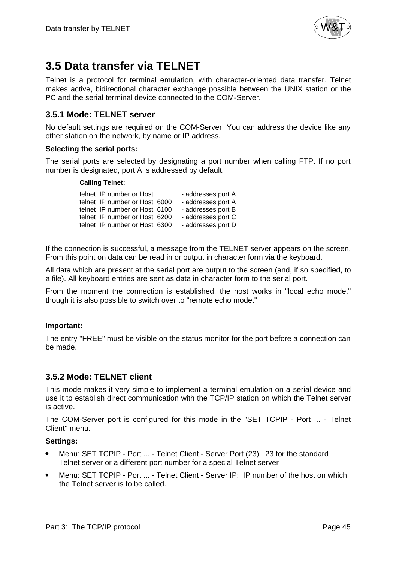

# **3.5 Data transfer via TELNET**

Telnet is a protocol for terminal emulation, with character-oriented data transfer. Telnet makes active, bidirectional character exchange possible between the UNIX station or the PC and the serial terminal device connected to the COM-Server.

#### **3.5.1 Mode: TELNET server**

No default settings are required on the COM-Server. You can address the device like any other station on the network, by name or IP address.

#### **Selecting the serial ports:**

The serial ports are selected by designating a port number when calling FTP. If no port number is designated, port A is addressed by default.

#### **Calling Telnet:**

| telnet IP number or Host      | - addresses port A |
|-------------------------------|--------------------|
| telnet IP number or Host 6000 | - addresses port A |
| telnet IP number or Host 6100 | - addresses port B |
| telnet IP number or Host 6200 | - addresses port C |
| telnet IP number or Host 6300 | - addresses port D |

 $\overline{a}$ 

If the connection is successful, a message from the TELNET server appears on the screen. From this point on data can be read in or output in character form via the keyboard.

All data which are present at the serial port are output to the screen (and, if so specified, to a file). All keyboard entries are sent as data in character form to the serial port.

From the moment the connection is established, the host works in "local echo mode," though it is also possible to switch over to "remote echo mode."

#### **Important:**

The entry "FREE" must be visible on the status monitor for the port before a connection can be made.

#### **3.5.2 Mode: TELNET client**

This mode makes it very simple to implement a terminal emulation on a serial device and use it to establish direct communication with the TCP/IP station on which the Telnet server is active.

The COM-Server port is configured for this mode in the "SET TCPIP - Port ... - Telnet Client" menu.

#### **Settings:**

- Menu: SET TCPIP Port ... Telnet Client Server Port (23): 23 for the standard Telnet server or a different port number for a special Telnet server
- Menu: SET TCPIP Port ... Telnet Client Server IP: IP number of the host on which the Telnet server is to be called.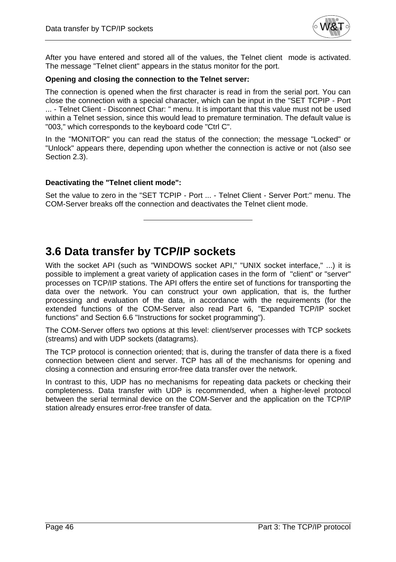

After you have entered and stored all of the values, the Telnet client mode is activated. The message "Telnet client" appears in the status monitor for the port.

#### **Opening and closing the connection to the Telnet server:**

The connection is opened when the first character is read in from the serial port. You can close the connection with a special character, which can be input in the "SET TCPIP - Port ... - Telnet Client - Disconnect Char: " menu. It is important that this value must not be used within a Telnet session, since this would lead to premature termination. The default value is "003," which corresponds to the keyboard code "Ctrl C".

In the "MONITOR" you can read the status of the connection; the message "Locked" or "Unlock" appears there, depending upon whether the connection is active or not (also see Section 2.3).

#### **Deactivating the "Telnet client mode":**

Set the value to zero in the "SET TCPIP - Port ... - Telnet Client - Server Port:" menu. The COM-Server breaks off the connection and deactivates the Telnet client mode.

### **3.6 Data transfer by TCP/IP sockets**

 $\overline{a}$ 

With the socket API (such as "WINDOWS socket API." "UNIX socket interface." ...) it is possible to implement a great variety of application cases in the form of "client" or "server" processes on TCP/IP stations. The API offers the entire set of functions for transporting the data over the network. You can construct your own application, that is, the further processing and evaluation of the data, in accordance with the requirements (for the extended functions of the COM-Server also read Part 6. "Expanded TCP/IP socket functions" and Section 6.6 "Instructions for socket programming").

The COM-Server offers two options at this level: client/server processes with TCP sockets (streams) and with UDP sockets (datagrams).

The TCP protocol is connection oriented; that is, during the transfer of data there is a fixed connection between client and server. TCP has all of the mechanisms for opening and closing a connection and ensuring error-free data transfer over the network.

In contrast to this, UDP has no mechanisms for repeating data packets or checking their completeness. Data transfer with UDP is recommended, when a higher-level protocol between the serial terminal device on the COM-Server and the application on the TCP/IP station already ensures error-free transfer of data.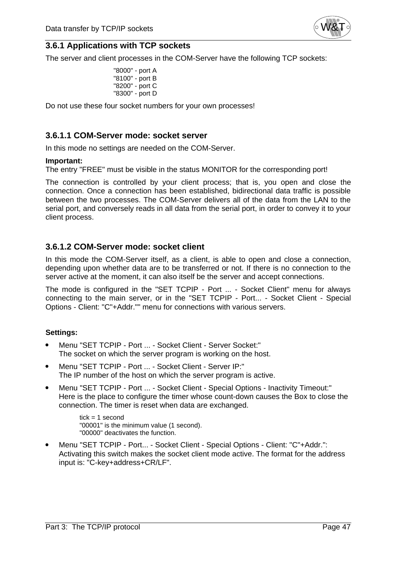

#### **3.6.1 Applications with TCP sockets**

The server and client processes in the COM-Server have the following TCP sockets:

"8000" - port A "8100" - port B "8200" - port C "8300" - port D

Do not use these four socket numbers for your own processes!

#### **3.6.1.1 COM-Server mode: socket server**

In this mode no settings are needed on the COM-Server.

#### **Important:**

The entry "FREE" must be visible in the status MONITOR for the corresponding port!

The connection is controlled by your client process; that is, you open and close the connection. Once a connection has been established, bidirectional data traffic is possible between the two processes. The COM-Server delivers all of the data from the LAN to the serial port, and conversely reads in all data from the serial port, in order to convey it to your client process.

#### **3.6.1.2 COM-Server mode: socket client**

In this mode the COM-Server itself, as a client, is able to open and close a connection, depending upon whether data are to be transferred or not. If there is no connection to the server active at the moment, it can also itself be the server and accept connections.

The mode is configured in the "SET TCPIP - Port ... - Socket Client" menu for always connecting to the main server, or in the "SET TCPIP - Port... - Socket Client - Special Options - Client: "C"+Addr."" menu for connections with various servers.

#### **Settings:**

- Menu "SET TCPIP Port Socket Client Server Socket:" The socket on which the server program is working on the host.
- Menu "SET TCPIP Port ... Socket Client Server IP:" The IP number of the host on which the server program is active.
- Menu "SET TCPIP Port ... Socket Client Special Options Inactivity Timeout:" Here is the place to configure the timer whose count-down causes the Box to close the connection. The timer is reset when data are exchanged.

 $tick = 1$  second "00001" is the minimum value (1 second). "00000" deactivates the function.

Menu "SET TCPIP - Port... - Socket Client - Special Options - Client: "C"+Addr.": Activating this switch makes the socket client mode active. The format for the address input is: "C-key+address+CR/LF".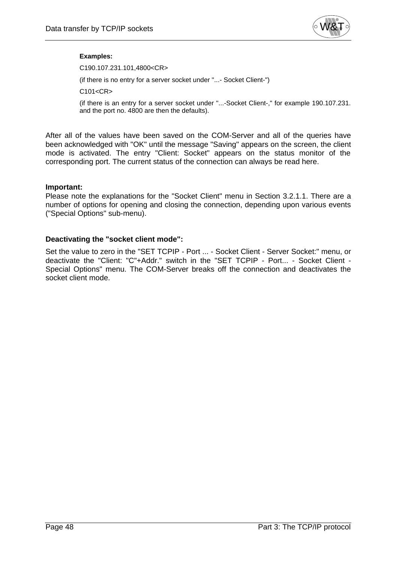

#### **Examples:**

C190.107.231.101.4800<CR>

(if there is no entry for a server socket under "...- Socket Client-")

 $C101$ <sub> $\square$ CR $\square$ </sub>

(if there is an entry for a server socket under "...-Socket Client-," for example 190.107.231. and the port no. 4800 are then the defaults).

After all of the values have been saved on the COM-Server and all of the queries have been acknowledged with "OK" until the message "Saving" appears on the screen, the client mode is activated. The entry "Client: Socket" appears on the status monitor of the corresponding port. The current status of the connection can always be read here.

#### **Important:**

Please note the explanations for the "Socket Client" menu in Section 3.2.1.1. There are a number of options for opening and closing the connection, depending upon various events ("Special Options" sub-menu).

#### **Deactivating the "socket client mode":**

Set the value to zero in the "SET TCPIP - Port ... - Socket Client - Server Socket:" menu, or deactivate the "Client: "C"+Addr." switch in the "SET TCPIP - Port... - Socket Client - Special Options" menu. The COM-Server breaks off the connection and deactivates the socket client mode.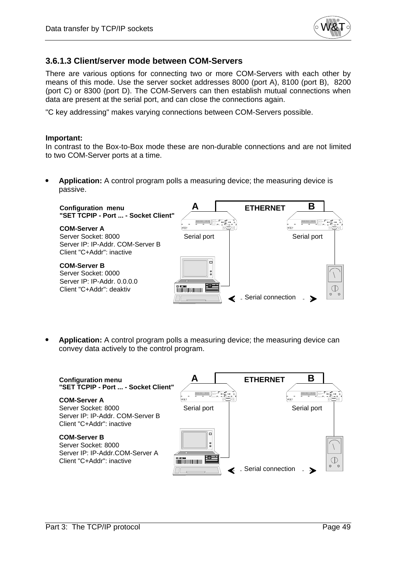

#### **3.6.1.3 Client/server mode between COM-Servers**

There are various options for connecting two or more COM-Servers with each other by means of this mode. Use the server socket addresses 8000 (port A), 8100 (port B), 8200 (port C) or 8300 (port D). The COM-Servers can then establish mutual connections when data are present at the serial port, and can close the connections again.

"C key addressing" makes varying connections between COM-Servers possible.

#### **Important:**

In contrast to the Box-to-Box mode these are non-durable connections and are not limited to two COM-Server ports at a time.

**Application:** A control program polls a measuring device; the measuring device is passive.



**Application:** A control program polls a measuring device; the measuring device can convey data actively to the control program.

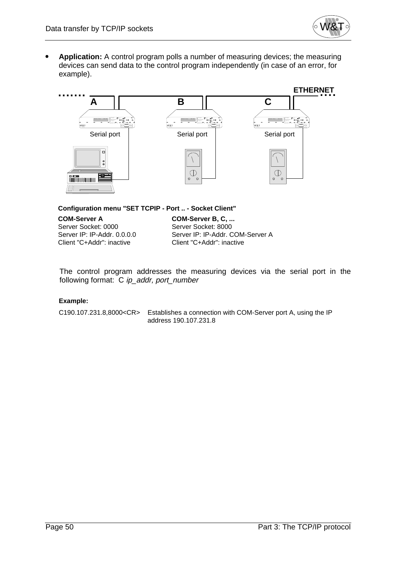

**Application:** A control program polls a number of measuring devices; the measuring devices can send data to the control program independently (in case of an error, for example).



#### **Configuration menu "SET TCPIP - Port .. - Socket Client"**

**COM-Server A** Client "C+Addr": inactive Server Socket: 0000 Server IP: IP-Addr. 0.0.0.0

Server Socket: 8000 Server IP: IP-Addr. COM-Server A **COM-Server B, C, ...** Client "C+Addr": inactive

The control program addresses the measuring devices via the serial port in the following format: C ip\_addr, port\_number

#### **Example:**

C190.107.231.8,8000<CR> Establishes a connection with COM-Server port A, using the IP address 190.107.231.8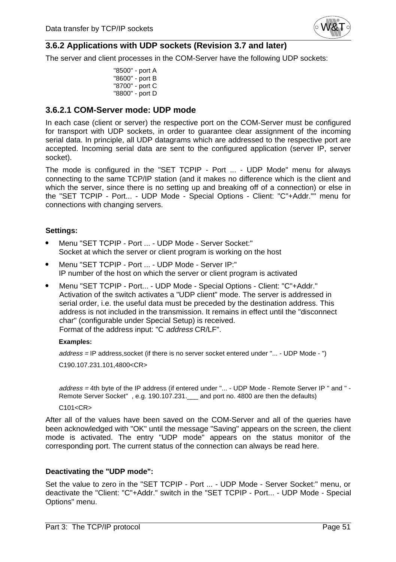

#### **3.6.2 Applications with UDP sockets (Revision 3.7 and later)**

The server and client processes in the COM-Server have the following UDP sockets:

"8500" - port A "8600" - port B "8700" - port C "8800" - port D

#### **3.6.2.1 COM-Server mode: UDP mode**

In each case (client or server) the respective port on the COM-Server must be configured for transport with UDP sockets, in order to guarantee clear assignment of the incoming serial data. In principle, all UDP datagrams which are addressed to the respective port are accepted. Incoming serial data are sent to the configured application (server IP, server socket).

The mode is configured in the "SET TCPIP - Port ... - UDP Mode" menu for always connecting to the same TCP/IP station (and it makes no difference which is the client and which the server, since there is no setting up and breaking off of a connection) or else in the "SET TCPIP - Port... - UDP Mode - Special Options - Client: "C"+Addr."" menu for connections with changing servers.

#### **Settings:**

- Menu "SET TCPIP Port ... UDP Mode Server Socket:" Socket at which the server or client program is working on the host
- Menu "SET TCPIP Port ... UDP Mode Server IP:" IP number of the host on which the server or client program is activated
- Menu "SET TCPIP Port... UDP Mode Special Options Client: "C"+Addr." Activation of the switch activates a "UDP client" mode. The server is addressed in serial order, i.e. the useful data must be preceded by the destination address. This address is not included in the transmission. It remains in effect until the "disconnect char" (configurable under Special Setup) is received. Format of the address input: "C address CR/LF".

#### **Examples:**

address = IP address,socket (if there is no server socket entered under "... - UDP Mode - ") C190.107.231.101,4800<CR>

address = 4th byte of the IP address (if entered under "... - UDP Mode - Remote Server IP " and " -Remote Server Socket" , e.g. 190.107.231.\_\_\_ and port no. 4800 are then the defaults)  $C101 \times CR$ 

After all of the values have been saved on the COM-Server and all of the queries have been acknowledged with "OK" until the message "Saving" appears on the screen, the client mode is activated. The entry "UDP mode" appears on the status monitor of the corresponding port. The current status of the connection can always be read here.

#### **Deactivating the "UDP mode":**

Set the value to zero in the "SET TCPIP - Port ... - UDP Mode - Server Socket:" menu, or deactivate the "Client: "C"+Addr." switch in the "SET TCPIP - Port... - UDP Mode - Special Options" menu.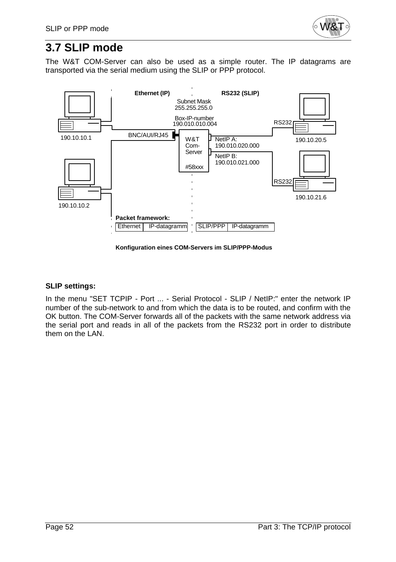

# **3.7 SLIP mode**

The W&T COM-Server can also be used as a simple router. The IP datagrams are transported via the serial medium using the SLIP or PPP protocol.



#### **SLIP settings:**

In the menu "SET TCPIP - Port ... - Serial Protocol - SLIP / NetIP:" enter the network IP number of the sub-network to and from which the data is to be routed, and confirm with the OK button. The COM-Server forwards all of the packets with the same network address via the serial port and reads in all of the packets from the RS232 port in order to distribute them on the LAN.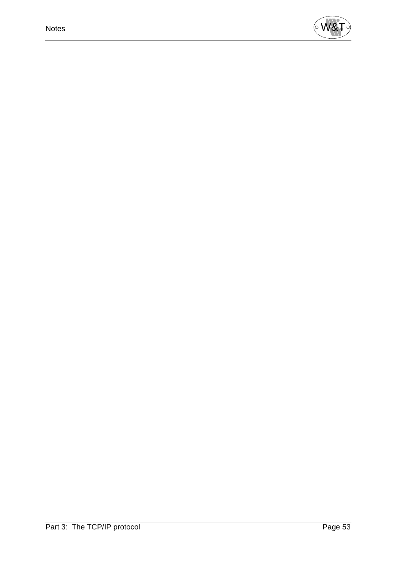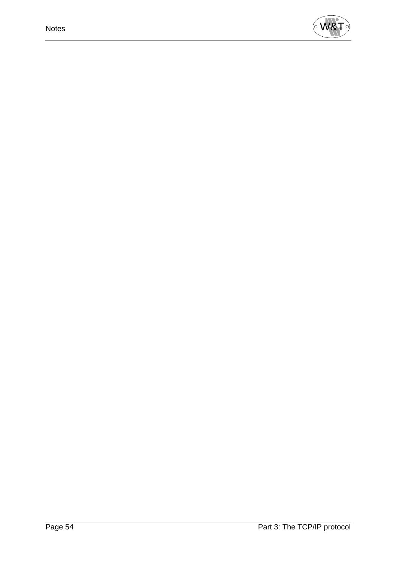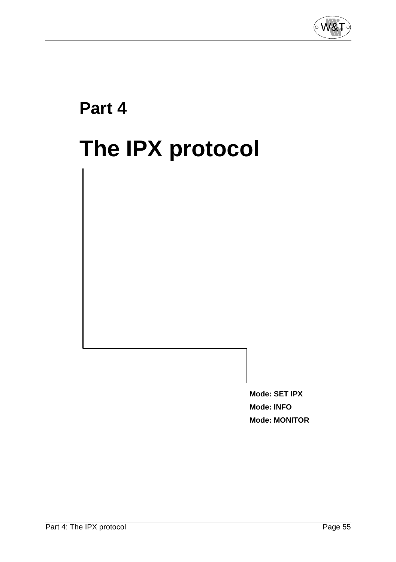

# **Part 4 The IPX protocol**

**Mode: SET IPX Mode: INFO Mode: MONITOR**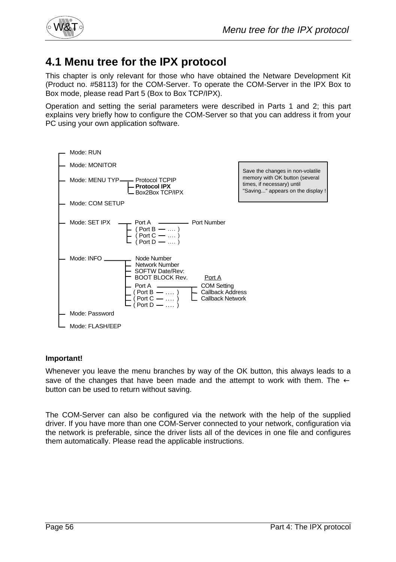

# **4.1 Menu tree for the IPX protocol**

This chapter is only relevant for those who have obtained the Netware Development Kit (Product no. #58113) for the COM-Server. To operate the COM-Server in the IPX Box to Box mode, please read Part 5 (Box to Box TCP/IPX).

Operation and setting the serial parameters were described in Parts 1 and 2; this part explains very briefly how to configure the COM-Server so that you can address it from your PC using your own application software.



#### **Important!**

Whenever you leave the menu branches by way of the OK button, this always leads to a save of the changes that have been made and the attempt to work with them. The  $\leftarrow$ button can be used to return without saving.

The COM-Server can also be configured via the network with the help of the supplied driver. If you have more than one COM-Server connected to your network, configuration via the network is preferable, since the driver lists all of the devices in one file and configures them automatically. Please read the applicable instructions.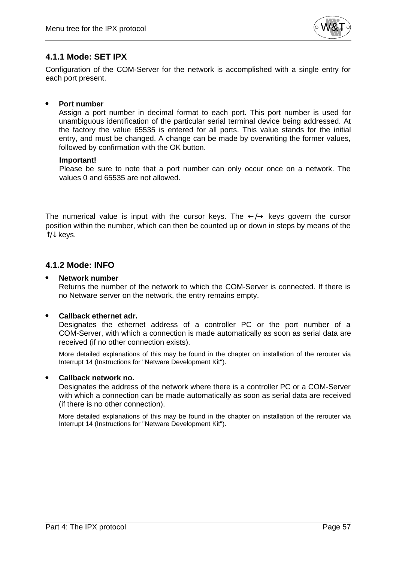

#### **4.1.1 Mode: SET IPX**

Configuration of the COM-Server for the network is accomplished with a single entry for each port present.

#### **Port number**

Assign a port number in decimal format to each port. This port number is used for unambiguous identification of the particular serial terminal device being addressed. At the factory the value 65535 is entered for all ports. This value stands for the initial entry, and must be changed. A change can be made by overwriting the former values, followed by confirmation with the OK button.

#### **Important!**

Please be sure to note that a port number can only occur once on a network. The values 0 and 65535 are not allowed.

The numerical value is input with the cursor keys. The  $\leftarrow/\rightarrow$  keys govern the cursor position within the number, which can then be counted up or down in steps by means of the ↑/↓ keys.

#### **4.1.2 Mode: INFO**

#### **Network number**

Returns the number of the network to which the COM-Server is connected. If there is no Netware server on the network, the entry remains empty.

#### **Callback ethernet adr.**

Designates the ethernet address of a controller PC or the port number of a COM-Server, with which a connection is made automatically as soon as serial data are received (if no other connection exists).

More detailed explanations of this may be found in the chapter on installation of the rerouter via Interrupt 14 (Instructions for "Netware Development Kit").

#### **Callback network no.**

Designates the address of the network where there is a controller PC or a COM-Server with which a connection can be made automatically as soon as serial data are received (if there is no other connection).

More detailed explanations of this may be found in the chapter on installation of the rerouter via Interrupt 14 (Instructions for "Netware Development Kit").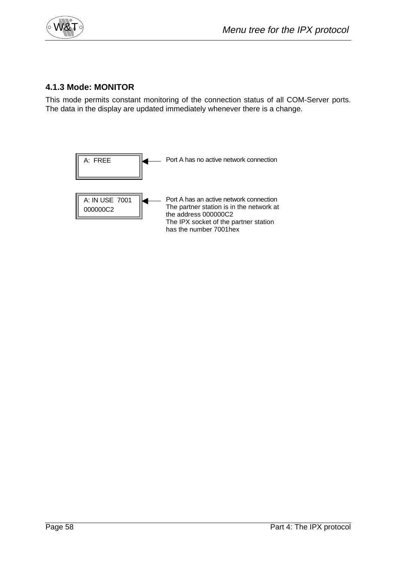

#### **4.1.3 Mode: MONITOR**

This mode permits constant monitoring of the connection status of all COM-Server ports. The data in the display are updated immediately whenever there is a change.

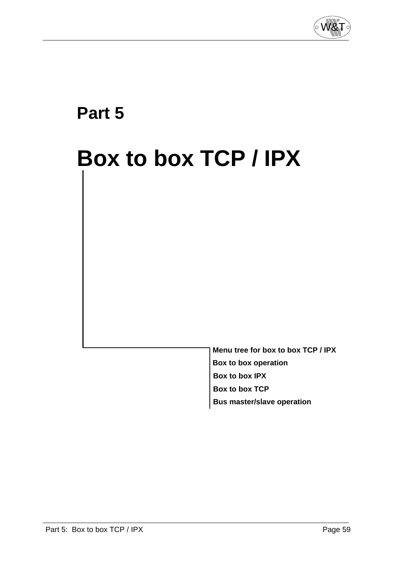

# **Part 5**

# **Box to box TCP / IPX**

**Menu tree for box to box TCP / IPX Box to box operation Box to box IPX Box to box TCP Bus master/slave operation**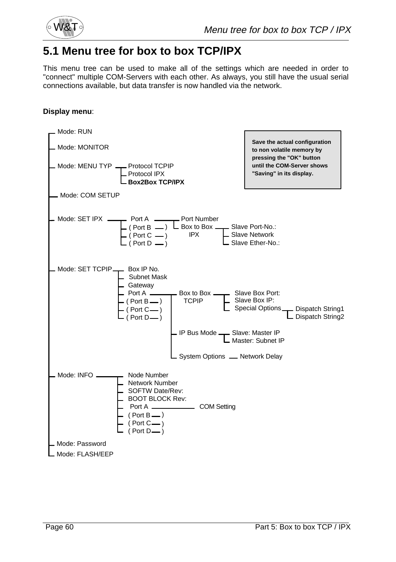

# **5.1 Menu tree for box to box TCP/IPX**

This menu tree can be used to make all of the settings which are needed in order to "connect" multiple COM-Servers with each other. As always, you still have the usual serial connections available, but data transfer is now handled via the network.

#### **Display menu**:

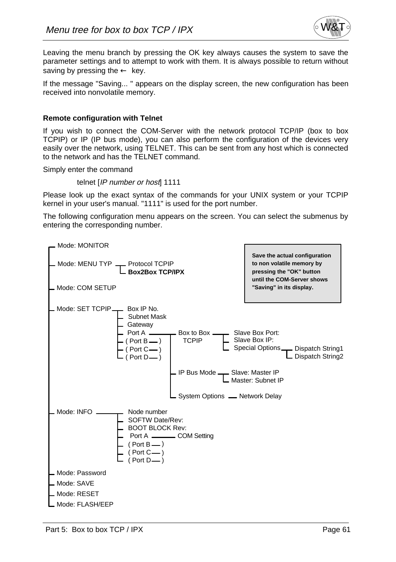

Leaving the menu branch by pressing the OK key always causes the system to save the parameter settings and to attempt to work with them. It is always possible to return without saving by pressing the  $\leftarrow$  key.

If the message "Saving... " appears on the display screen, the new configuration has been received into nonvolatile memory.

#### **Remote configuration with Telnet**

If you wish to connect the COM-Server with the network protocol TCP/IP (box to box TCPIP) or IP (IP bus mode), you can also perform the configuration of the devices very easily over the network, using TELNET. This can be sent from any host which is connected to the network and has the TELNET command.

Simply enter the command

telnet [IP number or host] 1111

Please look up the exact syntax of the commands for your UNIX system or your TCPIP kernel in your user's manual. "1111" is used for the port number.

The following configuration menu appears on the screen. You can select the submenus by entering the corresponding number.

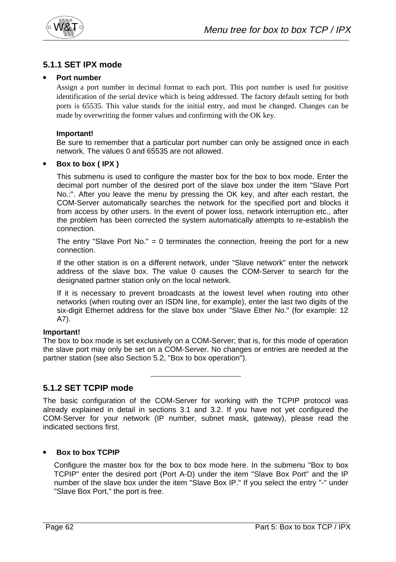

#### **5.1.1 SET IPX mode**

#### **Port number**

Assign a port number in decimal format to each port. This port number is used for positive identification of the serial device which is being addressed. The factory default setting for both ports is 65535. This value stands for the initial entry, and must be changed. Changes can be made by overwriting the former values and confirming with the OK key.

#### **Important!**

Be sure to remember that a particular port number can only be assigned once in each network. The values 0 and 65535 are not allowed.

#### **Box to box ( IPX )**

This submenu is used to configure the master box for the box to box mode. Enter the decimal port number of the desired port of the slave box under the item "Slave Port No.:". After you leave the menu by pressing the OK key, and after each restart, the COM-Server automatically searches the network for the specified port and blocks it from access by other users. In the event of power loss, network interruption etc., after the problem has been corrected the system automatically attempts to re-establish the connection.

The entry "Slave Port No."  $= 0$  terminates the connection, freeing the port for a new connection.

If the other station is on a different network, under "Slave network" enter the network address of the slave box. The value 0 causes the COM-Server to search for the designated partner station only on the local network.

If it is necessary to prevent broadcasts at the lowest level when routing into other networks (when routing over an ISDN line, for example), enter the last two digits of the six-digit Ethernet address for the slave box under "Slave Ether No." (for example: 12 A7).

#### **Important!**

The box to box mode is set exclusively on a COM-Server; that is, for this mode of operation the slave port may only be set on a COM-Server. No changes or entries are needed at the partner station (see also Section 5.2, "Box to box operation").

 $\overline{a}$ 

**5.1.2 SET TCPIP mode**

The basic configuration of the COM-Server for working with the TCPIP protocol was already explained in detail in sections 3.1 and 3.2. If you have not yet configured the COM-Server for your network (IP number, subnet mask, gateway), please read the indicated sections first.

#### **Box to box TCPIP**

Configure the master box for the box to box mode here. In the submenu "Box to box TCPIP" enter the desired port (Port A-D) under the item "Slave Box Port" and the IP number of the slave box under the item "Slave Box IP." If you select the entry "-" under "Slave Box Port," the port is free.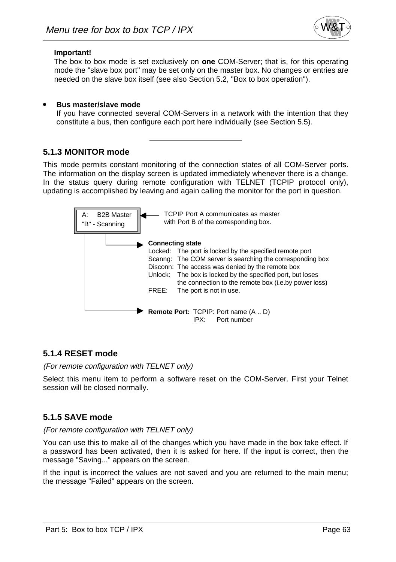$\overline{a}$ 



#### **Important!**

The box to box mode is set exclusively on **one** COM-Server; that is, for this operating mode the "slave box port" may be set only on the master box. No changes or entries are needed on the slave box itself (see also Section 5.2, "Box to box operation").

#### **Bus master/slave mode**

If you have connected several COM-Servers in a network with the intention that they constitute a bus, then configure each port here individually (see Section 5.5).

#### **5.1.3 MONITOR mode**

This mode permits constant monitoring of the connection states of all COM-Server ports. The information on the display screen is updated immediately whenever there is a change. In the status query during remote configuration with TELNET (TCPIP protocol only), updating is accomplished by leaving and again calling the monitor for the port in question.



#### **5.1.4 RESET mode**

(For remote configuration with TELNET only)

Select this menu item to perform a software reset on the COM-Server. First your Telnet session will be closed normally.

#### **5.1.5 SAVE mode**

#### (For remote configuration with TELNET only)

You can use this to make all of the changes which you have made in the box take effect. If a password has been activated, then it is asked for here. If the input is correct, then the message "Saving..." appears on the screen.

If the input is incorrect the values are not saved and you are returned to the main menu; the message "Failed" appears on the screen.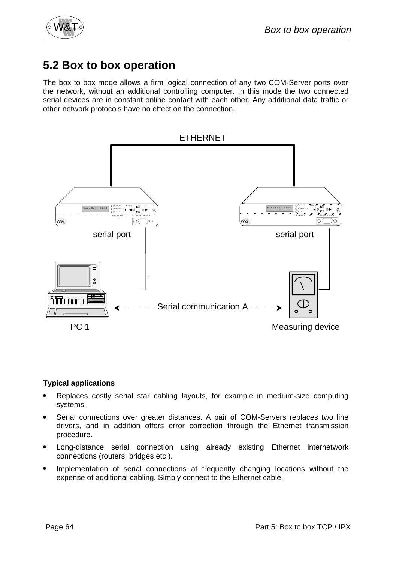

## **5.2 Box to box operation**

The box to box mode allows a firm logical connection of any two COM-Server ports over the network, without an additional controlling computer. In this mode the two connected serial devices are in constant online contact with each other. Any additional data traffic or other network protocols have no effect on the connection.



#### **Typical applications**

- Replaces costly serial star cabling layouts, for example in medium-size computing systems.
- Serial connections over greater distances. A pair of COM-Servers replaces two line drivers, and in addition offers error correction through the Ethernet transmission procedure.
- Long-distance serial connection using already existing Ethernet internetwork connections (routers, bridges etc.).
- Implementation of serial connections at frequently changing locations without the expense of additional cabling. Simply connect to the Ethernet cable.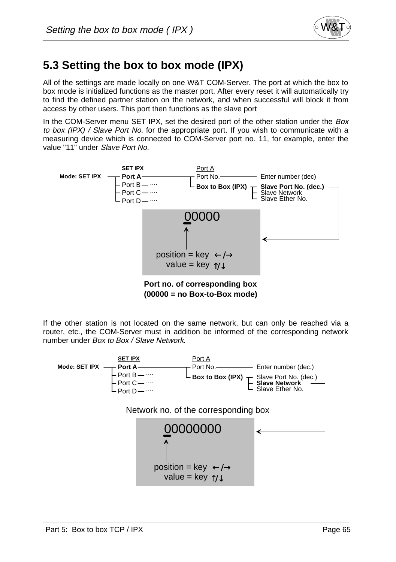

## **5.3 Setting the box to box mode (IPX)**

All of the settings are made locally on one W&T COM-Server. The port at which the box to box mode is initialized functions as the master port. After every reset it will automatically try to find the defined partner station on the network, and when successful will block it from access by other users. This port then functions as the slave port

In the COM-Server menu SET IPX, set the desired port of the other station under the Box to box (IPX) / Slave Port No. for the appropriate port. If you wish to communicate with a measuring device which is connected to COM-Server port no. 11, for example, enter the value "11" under Slave Port No.



**(00000 = no Box-to-Box mode)**

If the other station is not located on the same network, but can only be reached via a router, etc., the COM-Server must in addition be informed of the corresponding network number under Box to Box / Slave Network.

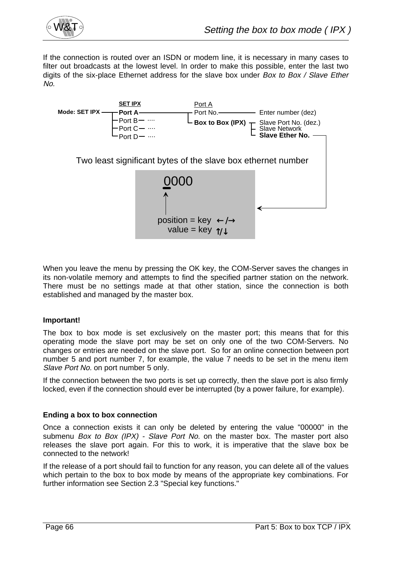

If the connection is routed over an ISDN or modem line, it is necessary in many cases to filter out broadcasts at the lowest level. In order to make this possible, enter the last two digits of the six-place Ethernet address for the slave box under Box to Box / Slave Ether  $N<sub>0</sub>$ 



When you leave the menu by pressing the OK key, the COM-Server saves the changes in its non-volatile memory and attempts to find the specified partner station on the network. There must be no settings made at that other station, since the connection is both established and managed by the master box.

#### **Important!**

The box to box mode is set exclusively on the master port; this means that for this operating mode the slave port may be set on only one of the two COM-Servers. No changes or entries are needed on the slave port. So for an online connection between port number 5 and port number 7, for example, the value 7 needs to be set in the menu item Slave Port No. on port number 5 only.

If the connection between the two ports is set up correctly, then the slave port is also firmly locked, even if the connection should ever be interrupted (by a power failure, for example).

#### **Ending a box to box connection**

Once a connection exists it can only be deleted by entering the value "00000" in the submenu Box to Box  $(IPX)$  - Slave Port No. on the master box. The master port also releases the slave port again. For this to work, it is imperative that the slave box be connected to the network!

If the release of a port should fail to function for any reason, you can delete all of the values which pertain to the box to box mode by means of the appropriate key combinations. For further information see Section 2.3 "Special key functions."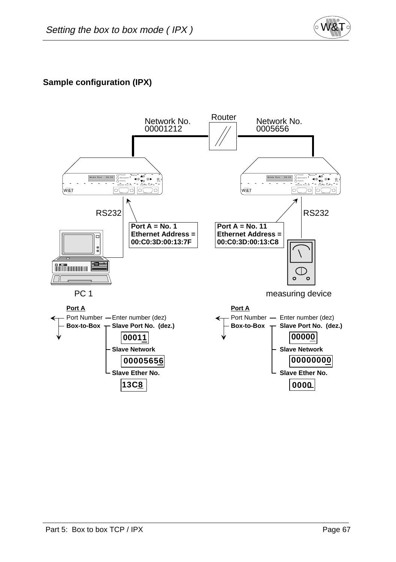

#### **Sample configuration (IPX)**

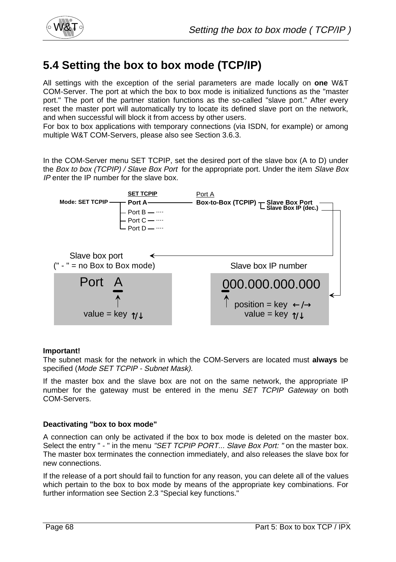

## **5.4 Setting the box to box mode (TCP/IP)**

All settings with the exception of the serial parameters are made locally on **one** W&T COM-Server. The port at which the box to box mode is initialized functions as the "master port." The port of the partner station functions as the so-called "slave port." After every reset the master port will automatically try to locate its defined slave port on the network, and when successful will block it from access by other users.

For box to box applications with temporary connections (via ISDN, for example) or among multiple W&T COM-Servers, please also see Section 3.6.3.

In the COM-Server menu SET TCPIP, set the desired port of the slave box (A to D) under the Box to box (TCPIP) / Slave Box Port for the appropriate port. Under the item Slave Box IP enter the IP number for the slave box.



#### **Important!**

The subnet mask for the network in which the COM-Servers are located must **always** be specified (Mode SET TCPIP - Subnet Mask).

If the master box and the slave box are not on the same network, the appropriate IP number for the gateway must be entered in the menu SET TCPIP Gateway on both COM-Servers.

#### **Deactivating "box to box mode"**

A connection can only be activated if the box to box mode is deleted on the master box. Select the entry " - " in the menu "SET TCPIP PORT... Slave Box Port: " on the master box. The master box terminates the connection immediately, and also releases the slave box for new connections.

If the release of a port should fail to function for any reason, you can delete all of the values which pertain to the box to box mode by means of the appropriate key combinations. For further information see Section 2.3 "Special key functions."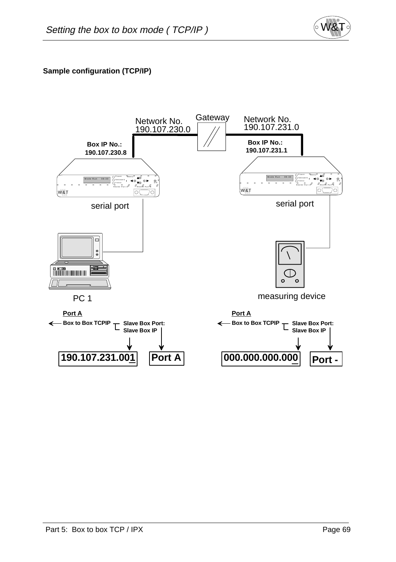

#### **Sample configuration (TCP/IP)**

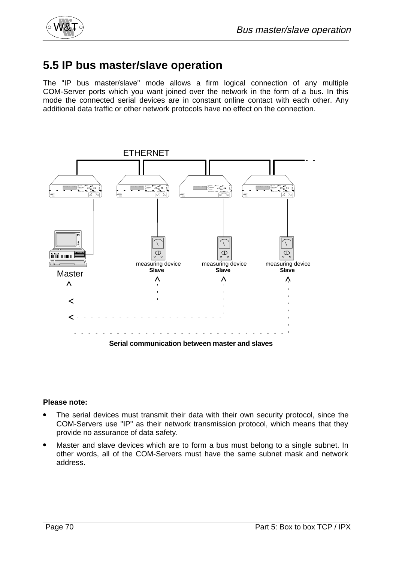

# **5.5 IP bus master/slave operation**

The "IP bus master/slave" mode allows a firm logical connection of any multiple COM-Server ports which you want joined over the network in the form of a bus. In this mode the connected serial devices are in constant online contact with each other. Any additional data traffic or other network protocols have no effect on the connection.



#### **Please note:**

- The serial devices must transmit their data with their own security protocol, since the COM-Servers use "IP" as their network transmission protocol, which means that they provide no assurance of data safety.
- Master and slave devices which are to form a bus must belong to a single subnet. In other words, all of the COM-Servers must have the same subnet mask and network address.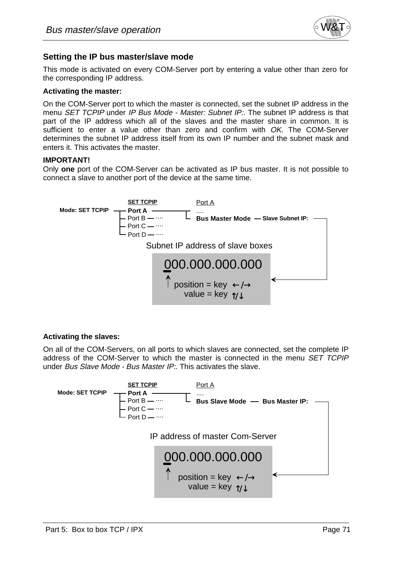

#### **Setting the IP bus master/slave mode**

This mode is activated on every COM-Server port by entering a value other than zero for the corresponding IP address.

#### **Activating the master:**

On the COM-Server port to which the master is connected, set the subnet IP address in the menu SET TCPIP under IP Bus Mode - Master: Subnet IP:. The subnet IP address is that part of the IP address which all of the slaves and the master share in common. It is sufficient to enter a value other than zero and confirm with OK. The COM-Server determines the subnet IP address itself from its own IP number and the subnet mask and enters it. This activates the master.

#### **IMPORTANT!**

Only **one** port of the COM-Server can be activated as IP bus master. It is not possible to connect a slave to another port of the device at the same time.



#### **Activating the slaves:**

On all of the COM-Servers, on all ports to which slaves are connected, set the complete IP address of the COM-Server to which the master is connected in the menu SET TCPIP under Bus Slave Mode - Bus Master IP:. This activates the slave.

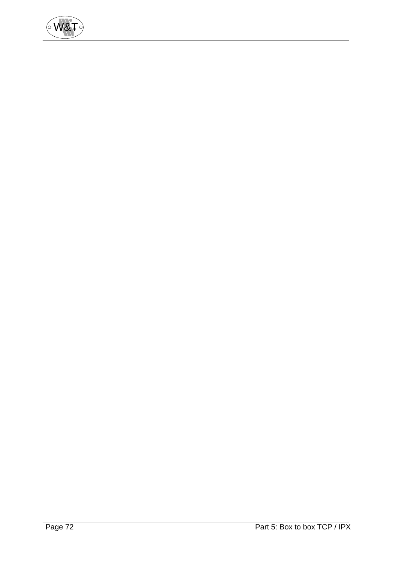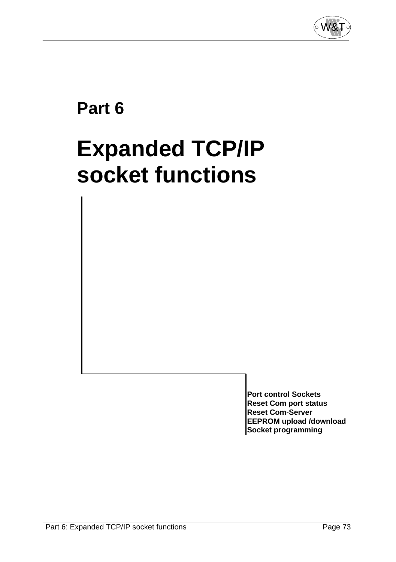

# **Part 6**

# **Expanded TCP/IP socket functions**

**Port control Sockets Reset Com port status Reset Com-Server EEPROM upload /download Socket programming**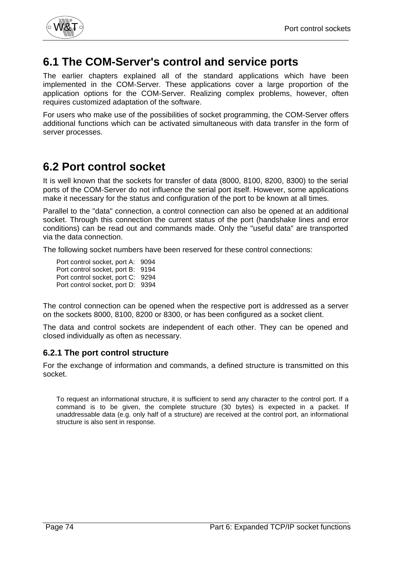

## **6.1 The COM-Server's control and service ports**

The earlier chapters explained all of the standard applications which have been implemented in the COM-Server. These applications cover a large proportion of the application options for the COM-Server. Realizing complex problems, however, often requires customized adaptation of the software.

For users who make use of the possibilities of socket programming, the COM-Server offers additional functions which can be activated simultaneous with data transfer in the form of server processes.

## **6.2 Port control socket**

It is well known that the sockets for transfer of data (8000, 8100, 8200, 8300) to the serial ports of the COM-Server do not influence the serial port itself. However, some applications make it necessary for the status and configuration of the port to be known at all times.

Parallel to the "data" connection, a control connection can also be opened at an additional socket. Through this connection the current status of the port (handshake lines and error conditions) can be read out and commands made. Only the "useful data" are transported via the data connection.

The following socket numbers have been reserved for these control connections:

Port control socket, port A: 9094 Port control socket, port B: 9194 Port control socket, port C: 9294 Port control socket, port D: 9394

The control connection can be opened when the respective port is addressed as a server on the sockets 8000, 8100, 8200 or 8300, or has been configured as a socket client.

The data and control sockets are independent of each other. They can be opened and closed individually as often as necessary.

#### **6.2.1 The port control structure**

For the exchange of information and commands, a defined structure is transmitted on this socket.

To request an informational structure, it is sufficient to send any character to the control port. If a command is to be given, the complete structure (30 bytes) is expected in a packet. If unaddressable data (e.g. only half of a structure) are received at the control port, an informational structure is also sent in response.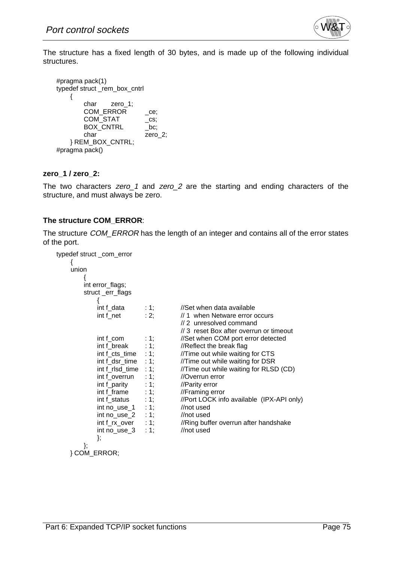

The structure has a fixed length of 30 bytes, and is made up of the following individual structures.

```
#pragma pack(1)
typedef struct _rem_box_cntrl
   {
      char zero 1;
      COM_ERROR ce;
      COM STAT cs;
      BOX_CNTRL bc:
      char \overline{zero} zero 2} REM_BOX_CNTRL;
#pragma pack()
```
#### **zero\_1 / zero\_2:**

The two characters zero 1 and zero 2 are the starting and ending characters of the structure, and must always be zero.

#### **The structure COM\_ERROR**:

The structure COM\_ERROR has the length of an integer and contains all of the error states of the port.

```
typedef struct _com_error
     {
     union
          {
         int error_flags;
         struct _err_flags
               {
              int f data : 1; //Set when data available
              int f_net : 2; // 1 when Netware error occurs
                                             // 2 unresolved command
                                             // 3 reset Box after overrun or timeout
              int f_com : 1; //Set when COM port error detected<br>int f break : 1: //Reflect the break flag
                              : 1; \frac{1}{2} //Reflect the break flag
              int f_cts_time : 1; //Time out while waiting for CTS
              int f_dsr_time : 1; //Time out while waiting for DSR
              int f_rlsd_time : 1; //Time out while waiting for RLSD (CD)
              int f_overrun : 1; //Overrun error<br>int f_parity : 1: //Parity error
              int f_parity : 1; //Parity error<br>int f frame : 1: //Framing err
                                            //Framing error
              int f_status : 1; //Port LOCK info available (IPX-API only)
              int no_use_1 : 1; //not used
              int no_use_2 : 1; //not used<br>int f rx over : 1; //Ring buff
                                            //Ring buffer overrun after handshake<br>//not used
              int no_use_3 : 1;
              };
         };
```

```
} COM_ERROR;
```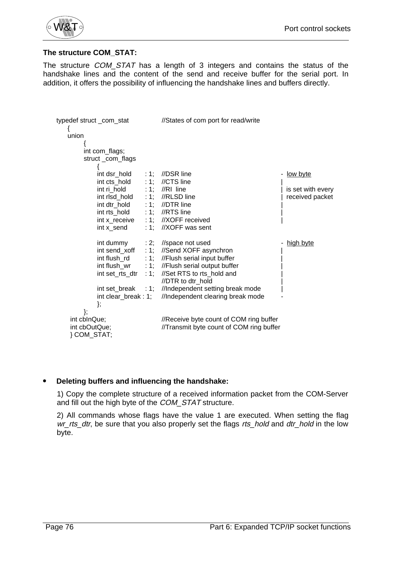

#### **The structure COM\_STAT:**

The structure COM STAT has a length of 3 integers and contains the status of the handshake lines and the content of the send and receive buffer for the serial port. In addition, it offers the possibility of influencing the handshake lines and buffers directly.

```
typedef struct _com_stat //States of com port for read/write
   {
   union
         {
        int com_flags;
        struct com flags
             {
             int dsr_hold : 1; //DSR line - low byte
             int cts hold : 1: //CTS line
             int ri_hold : 1; //RI line | is set with every<br>int rlsd_hold : 1; //RLSD line | is set with every
             int rlsd_hold : 1; //RLSD line int dtr hold : 1: //DTR line
             int \, dr = hol \, dt : 1; //DTR line int rts hold : 1: //RTS line
                            : 1: \sqrt{RTS} line
             int x receive : 1; //XOFF received |
             int x send : 1; //XOFF was sent
             int dummy : 2; //space not used - high byte
             int send_xoff \therefore 1; //Send XOFF asynchron
             int flush rd : 1; //Flush serial input buffer
             int flush_wr : 1; //Flush serial output buffer
             int set_rts_dtr : 1; //Set RTS to rts_hold and |
                                   //DTR to dtr_hold |
             int set\_break : 1; //Independent setting break mode
             int clear break : 1; //Independent clearing break mode
             };
        };
    int cbInQue;<br>
int cbOutQue: //Transmit byte count of COM ring buffer<br>
//Transmit byte count of COM ring buffer
                                  //Transmit byte count of COM ring buffer
    } COM_STAT;
```
#### **Deleting buffers and influencing the handshake:**

1) Copy the complete structure of a received information packet from the COM-Server and fill out the high byte of the COM STAT structure.

2) All commands whose flags have the value 1 are executed. When setting the flag wr\_rts\_dtr, be sure that you also properly set the flags rts\_hold and dtr\_hold in the low byte.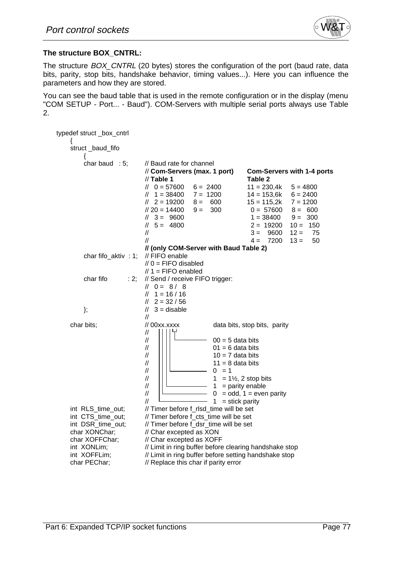

#### **The structure BOX\_CNTRL:**

The structure BOX CNTRL (20 bytes) stores the configuration of the port (baud rate, data bits, parity, stop bits, handshake behavior, timing values...). Here you can influence the parameters and how they are stored.

You can see the baud table that is used in the remote configuration or in the display (menu "COM SETUP - Port... - Baud"). COM-Servers with multiple serial ports always use Table 2.

| typedef struct _box_cntrl                                                                                                                     |                                                                                                                                                                                                                                                                                                                                                             |                                                                                                                                                                                                                                                                                                 |
|-----------------------------------------------------------------------------------------------------------------------------------------------|-------------------------------------------------------------------------------------------------------------------------------------------------------------------------------------------------------------------------------------------------------------------------------------------------------------------------------------------------------------|-------------------------------------------------------------------------------------------------------------------------------------------------------------------------------------------------------------------------------------------------------------------------------------------------|
| struct_baud_fifo                                                                                                                              |                                                                                                                                                                                                                                                                                                                                                             |                                                                                                                                                                                                                                                                                                 |
| ł<br>char baud : $5$ :                                                                                                                        | // Baud rate for channel<br>// Com-Servers (max. 1 port)<br>$\#$ Table 1<br>$110 = 57600$<br>$6 = 2400$<br>$1 = 38400$<br>$7 = 1200$<br>$^{\prime\prime}$<br>600<br>$^{\prime\prime}$<br>$2 = 19200$<br>$8 =$<br>$1/20 = 14400$<br>300<br>$9 =$<br>$3 = 9600$<br>$^{\prime\prime}$<br>$5 = 4800$<br>$^{\prime\prime}$<br>$^{\prime\prime}$<br>$\mathcal{U}$ | Com-Servers with 1-4 ports<br>Table 2<br>$11 = 230,4k$<br>$5 = 4800$<br>$14 = 153,6k$<br>$6 = 2400$<br>$15 = 115,2k$<br>$7 = 1200$<br>$0 = 57600$<br>$8 = 600$<br>$1 = 38400$<br>300<br>$9 =$<br>$2 = 19200$<br>$10 =$<br>150<br>$12 =$<br>75<br>$3 =$<br>9600<br>$4 =$<br>7200<br>$13 =$<br>50 |
|                                                                                                                                               | // (only COM-Server with Baud Table 2)                                                                                                                                                                                                                                                                                                                      |                                                                                                                                                                                                                                                                                                 |
| char fifo_aktiv: $1$ ;                                                                                                                        | // FIFO enable<br>$// 0 = FIFO$ disabled<br>$// 1 = FIFO enabled$                                                                                                                                                                                                                                                                                           |                                                                                                                                                                                                                                                                                                 |
| char fifo<br>: 2:                                                                                                                             | // Send / receive FIFO trigger:<br>$1/0 = 8/8$<br>$1 = 16 / 16$<br>$^{\prime\prime}$<br>$2 = 32 / 56$<br>$^{\prime\prime}$                                                                                                                                                                                                                                  |                                                                                                                                                                                                                                                                                                 |
| };                                                                                                                                            | $3 =$ disable<br>$^{\prime\prime}$<br>$^{\prime\prime}$                                                                                                                                                                                                                                                                                                     |                                                                                                                                                                                                                                                                                                 |
| char bits:                                                                                                                                    | // 00xx.xxxx<br>//<br>$^{\prime\prime}$<br>$00 = 5$ data bits<br>$^{\prime\prime}$<br>$01 = 6$ data bits<br>$\mathcal{U}$<br>$10 = 7$ data bits<br>$^{\prime\prime}$<br>$11 = 8$ data bits<br>$^{\prime\prime}$<br>0<br>$= 1$<br>$^{\prime\prime}$<br>1<br>$\mathcal{U}$<br>1<br>$^{\prime\prime}$<br>0<br>$\mathcal{U}$<br>1<br>$=$ stick parity           | data bits, stop bits, parity<br>$= 1\frac{1}{2}$ , 2 stop bits<br>= parity enable<br>$=$ odd, $1 =$ even parity                                                                                                                                                                                 |
| int RLS_time_out;<br>int CTS_time_out;<br>int DSR time out;<br>char XONChar;<br>char XOFFChar;<br>int XONLim;<br>int XOFFLim;<br>char PEChar; | // Timer before f rlsd time will be set<br>// Timer before f_cts_time will be set<br>// Timer before f dsr time will be set<br>// Char excepted as XON<br>// Char excepted as XOFF<br>// Limit in ring buffer before clearing handshake stop<br>// Limit in ring buffer before setting handshake stop<br>// Replace this char if parity error               |                                                                                                                                                                                                                                                                                                 |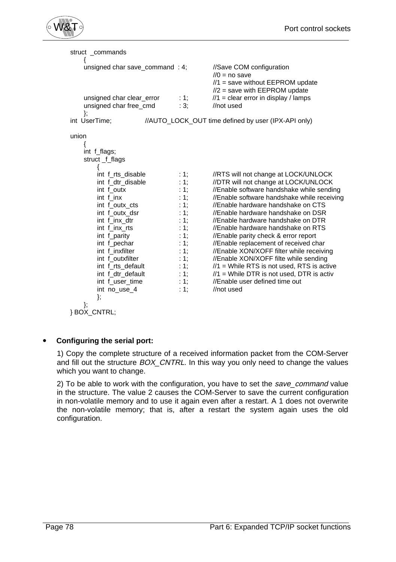```
struct commands
      {
     unsigned char save command : 4: \frac{1}{S} //Save COM configuration
                                                         /10 = no save
                                                         //1 = save without EEPROM update
                                                         //2 = save with EEPROM update
     unsigned char clear_error : 1; \frac{1}{3} //1 = clear error in display / lamps<br>unsigned char free cmd \frac{1}{3} //not used
     unsigned char free_cmd
};<br>!int_UserTime
                            //AUTO_LOCK_OUT time defined by user (IPX-API only)
union
      {
     int f_flags:
     struct f_flags
           {
          int f_rts_disable : 1; //RTS will not change at LOCK/UNLOCK<br>int f_dtr_disable : 1: //DTR_will_not change at LOCK/UNLOCK
          int f_dtr_disable : 1; //DTR will not change at LOCK/UNLOCK
          int f_outx : 1; //Enable software handshake while sending<br>int f_inx : 1: //Enable software handshake while receiving
          int f_inx : 1; //Enable software handshake while receiving<br>int f_outx_cts : 1; //Enable hardware handshake on CTS
                                                         //Enable hardware handshake on CTS
          int f_outx_dsr : 1; //Enable hardware handshake on DSR
          int f_inx_dtr : 1; //Enable hardware handshake on DTR<br>int f_inx_rts : 1: //Enable hardware handshake on RTS
          int f_inx_rts : 1; //Enable hardware handshake on RTS<br>int f_parity : 1; //Enable parity check & error report
                                                         //Enable parity check & error report
          int f pechar : 1; //Enable replacement of received char
          int f_inxfilter : 1: //Enable XON/XOFF filter while receiving
          int f_outxfilter : 1; //Enable XON/XOFF filte while sending<br>int f rts default : 1: //1 = While RTS is not used, RTS is act
          int f_rts_default : 1; \frac{1}{1} = While RTS is not used, RTS is active int f_dtr_default : 1; \frac{1}{1} = While DTR is not used, DTR is active
          int f_dtr_default : 1; \frac{1}{1} //1 = While DTR is not used, DTR is activen in f user time : 1; //Enable user defined time out
                                                         //Enable user defined time out
          int no use 4 : 1; //not used
           };
      };
\overrightarrow{BON} CNTRL;
```
#### **Configuring the serial port:**

W&T

1) Copy the complete structure of a received information packet from the COM-Server and fill out the structure BOX\_CNTRL. In this way you only need to change the values which you want to change.

2) To be able to work with the configuration, you have to set the save\_command value in the structure. The value 2 causes the COM-Server to save the current configuration in non-volatile memory and to use it again even after a restart. A 1 does not overwrite the non-volatile memory; that is, after a restart the system again uses the old configuration.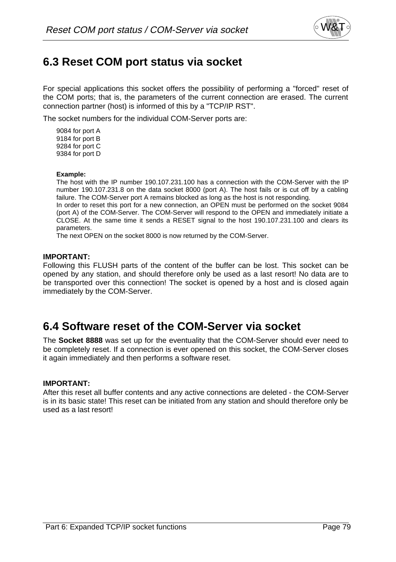

# **6.3 Reset COM port status via socket**

For special applications this socket offers the possibility of performing a "forced" reset of the COM ports; that is, the parameters of the current connection are erased. The current connection partner (host) is informed of this by a "TCP/IP RST".

The socket numbers for the individual COM-Server ports are:

9084 for port A 9184 for port B 9284 for port C 9384 for port D

#### **Example:**

The host with the IP number 190.107.231.100 has a connection with the COM-Server with the IP number 190.107.231.8 on the data socket 8000 (port A). The host fails or is cut off by a cabling failure. The COM-Server port A remains blocked as long as the host is not responding.

In order to reset this port for a new connection, an OPEN must be performed on the socket 9084 (port A) of the COM-Server. The COM-Server will respond to the OPEN and immediately initiate a CLOSE. At the same time it sends a RESET signal to the host 190.107.231.100 and clears its parameters.

The next OPEN on the socket 8000 is now returned by the COM-Server.

#### **IMPORTANT:**

Following this FLUSH parts of the content of the buffer can be lost. This socket can be opened by any station, and should therefore only be used as a last resort! No data are to be transported over this connection! The socket is opened by a host and is closed again immediately by the COM-Server.

## **6.4 Software reset of the COM-Server via socket**

The **Socket 8888** was set up for the eventuality that the COM-Server should ever need to be completely reset. If a connection is ever opened on this socket, the COM-Server closes it again immediately and then performs a software reset.

#### **IMPORTANT:**

After this reset all buffer contents and any active connections are deleted - the COM-Server is in its basic state! This reset can be initiated from any station and should therefore only be used as a last resort!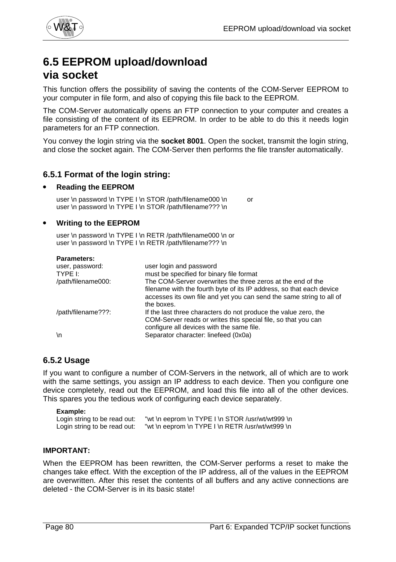

### **6.5 EEPROM upload/download via socket**

This function offers the possibility of saving the contents of the COM-Server EEPROM to your computer in file form, and also of copying this file back to the EEPROM.

The COM-Server automatically opens an FTP connection to your computer and creates a file consisting of the content of its EEPROM. In order to be able to do this it needs login parameters for an FTP connection.

You convey the login string via the **socket 8001**. Open the socket, transmit the login string, and close the socket again. The COM-Server then performs the file transfer automatically.

#### **6.5.1 Format of the login string:**

#### **Reading the EEPROM**

user \n password \n TYPE I \n STOR /path/filename000 \n or user \n password \n TYPE I \n STOR /path/filename??? \n

#### **Writing to the EEPROM**

user \n password \n TYPE I \n RETR /path/filename000 \n or user \n password \n TYPE I \n RETR /path/filename??? \n

| Parameters:        |                                                                      |
|--------------------|----------------------------------------------------------------------|
| user, password:    | user login and password                                              |
| TYPE I:            | must be specified for binary file format                             |
| /path/filename000: | The COM-Server overwrites the three zeros at the end of the          |
|                    | filename with the fourth byte of its IP address, so that each device |
|                    | accesses its own file and yet you can send the same string to all of |
|                    | the boxes.                                                           |
| /path/filename???: | If the last three characters do not produce the value zero, the      |
|                    | COM-Server reads or writes this special file, so that you can        |
|                    | configure all devices with the same file.                            |
| ۱n                 | Separator character: linefeed (0x0a)                                 |

#### **6.5.2 Usage**

If you want to configure a number of COM-Servers in the network, all of which are to work with the same settings, you assign an IP address to each device. Then you configure one device completely, read out the EEPROM, and load this file into all of the other devices. This spares you the tedious work of configuring each device separately.

#### **Example:**

| Login string to be read out: | "wt \n eeprom \n TYPE I \n STOR /usr/wt/wt999 \n |
|------------------------------|--------------------------------------------------|
| Login string to be read out: | "wt \n eeprom \n TYPE I \n RETR /usr/wt/wt999 \n |

#### **IMPORTANT:**

When the EEPROM has been rewritten, the COM-Server performs a reset to make the changes take effect. With the exception of the IP address, all of the values in the EEPROM are overwritten. After this reset the contents of all buffers and any active connections are deleted - the COM-Server is in its basic state!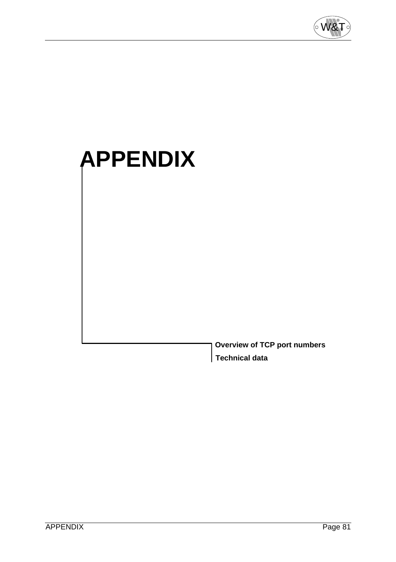

# **APPENDIX**

**Overview of TCP port numbers Technical data**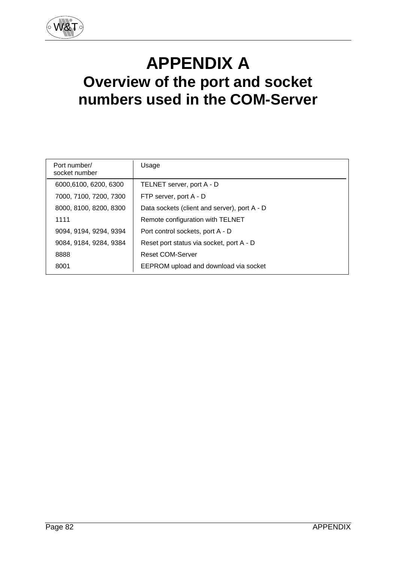

# **APPENDIX A Overview of the port and socket numbers used in the COM-Server**

| Port number/<br>socket number | Usage                                        |
|-------------------------------|----------------------------------------------|
| 6000,6100, 6200, 6300         | TELNET server, port A - D                    |
| 7000, 7100, 7200, 7300        | FTP server, port A - D                       |
| 8000, 8100, 8200, 8300        | Data sockets (client and server), port A - D |
| 1111                          | Remote configuration with TELNET             |
| 9094, 9194, 9294, 9394        | Port control sockets, port A - D             |
| 9084. 9184. 9284. 9384        | Reset port status via socket, port A - D     |
| 8888                          | Reset COM-Server                             |
| 8001                          | EEPROM upload and download via socket        |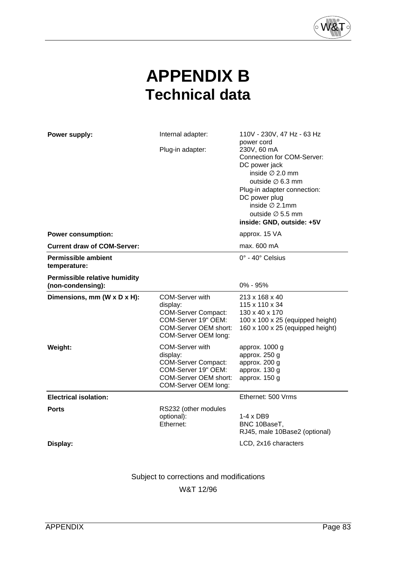

# **APPENDIX B Technical data**

| Power supply:                                         | Internal adapter:<br>Plug-in adapter:                                                                                                           | 110V - 230V, 47 Hz - 63 Hz<br>power cord<br>230V, 60 mA<br>Connection for COM-Server:<br>DC power jack<br>inside $\varnothing$ 2.0 mm<br>outside $\varnothing$ 6.3 mm<br>Plug-in adapter connection:<br>DC power plug<br>inside $\varnothing$ 2.1mm<br>outside $\varnothing$ 5.5 mm<br>inside: GND, outside: +5V |  |  |
|-------------------------------------------------------|-------------------------------------------------------------------------------------------------------------------------------------------------|------------------------------------------------------------------------------------------------------------------------------------------------------------------------------------------------------------------------------------------------------------------------------------------------------------------|--|--|
| <b>Power consumption:</b>                             |                                                                                                                                                 | approx. 15 VA                                                                                                                                                                                                                                                                                                    |  |  |
| <b>Current draw of COM-Server:</b>                    |                                                                                                                                                 | max. 600 mA                                                                                                                                                                                                                                                                                                      |  |  |
| Permissible ambient<br>temperature:                   |                                                                                                                                                 | $0^\circ$ - 40 $^\circ$ Celsius                                                                                                                                                                                                                                                                                  |  |  |
| Permissible relative humidity<br>(non-condensing):    |                                                                                                                                                 | 0% - 95%                                                                                                                                                                                                                                                                                                         |  |  |
| Dimensions, mm (W x D x H):                           | <b>COM-Server with</b><br>display:<br><b>COM-Server Compact:</b><br>COM-Server 19" OEM:<br><b>COM-Server OEM short:</b><br>COM-Server OEM long: | 213 x 168 x 40<br>115 x 110 x 34<br>130 x 40 x 170<br>100 x 100 x 25 (equipped height)<br>160 x 100 x 25 (equipped height)                                                                                                                                                                                       |  |  |
| Weight:                                               | COM-Server with<br>display:<br><b>COM-Server Compact:</b><br>COM-Server 19" OEM:<br>COM-Server OEM short:<br>COM-Server OEM long:               | approx. 1000 g<br>approx. 250 g<br>approx. 200 g<br>approx. 130 g<br>approx. 150 g                                                                                                                                                                                                                               |  |  |
| <b>Electrical isolation:</b>                          |                                                                                                                                                 | Ethernet: 500 Vrms                                                                                                                                                                                                                                                                                               |  |  |
| Ports                                                 | RS232 (other modules<br>optional):<br>Ethernet:                                                                                                 | $1-4 \times DB9$<br>BNC 10BaseT,<br>RJ45, male 10Base2 (optional)                                                                                                                                                                                                                                                |  |  |
| Display:                                              |                                                                                                                                                 | LCD, 2x16 characters                                                                                                                                                                                                                                                                                             |  |  |
| Subject to corrections and modifications<br>W&T 12/96 |                                                                                                                                                 |                                                                                                                                                                                                                                                                                                                  |  |  |